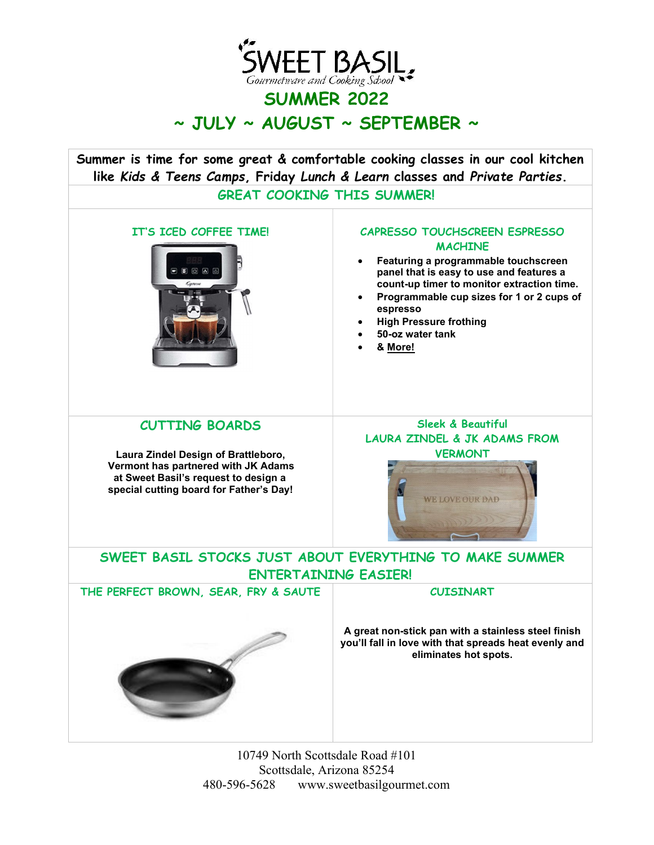

# SUMMER 2022  $\sim$  JULY  $\sim$  AUGUST  $\sim$  SEPTEMBER  $\sim$

Summer is time for some great & comfortable cooking classes in our cool kitchen like Kids & Teens Camps, Friday Lunch & Learn classes and Private Parties.

GREAT COOKING THIS SUMMER!



#### IT'S ICED COFFEE TIME! CAPRESSO TOUCHSCREEN ESPRESSO **MACHINE**

- Featuring a programmable touchscreen panel that is easy to use and features a count-up timer to monitor extraction time.
- Programmable cup sizes for 1 or 2 cups of espresso
- High Pressure frothing
- 50-oz water tank
- & More!

#### CUTTING BOARDS

 Laura Zindel Design of Brattleboro, Vermont has partnered with JK Adams at Sweet Basil's request to design a special cutting board for Father's Day!

Sleek & Beautiful LAURA ZINDEL & JK ADAMS FROM VERMONT



# SWEET BASIL STOCKS JUST ABOUT EVERYTHING TO MAKE SUMMER ENTERTAINING EASIER!

THE PERFECT BROWN, SEAR, FRY & SAUTE CUISINART

A great non-stick pan with a stainless steel finish you'll fall in love with that spreads heat evenly and eliminates hot spots.

10749 North Scottsdale Road #101 Scottsdale, Arizona 85254 480-596-5628 www.sweetbasilgourmet.com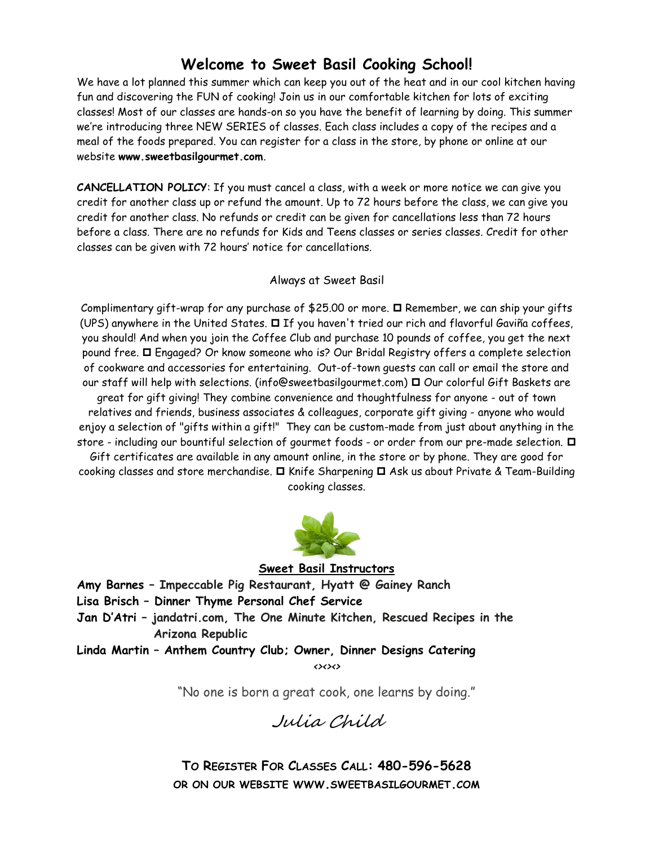# Welcome to Sweet Basil Cooking School!

We have a lot planned this summer which can keep you out of the heat and in our cool kitchen having fun and discovering the FUN of cooking! Join us in our comfortable kitchen for lots of exciting classes! Most of our classes are hands-on so you have the benefit of learning by doing. This summer we're introducing three NEW SERIES of classes. Each class includes a copy of the recipes and a meal of the foods prepared. You can register for a class in the store, by phone or online at our website www.sweetbasilgourmet.com.

CANCELLATION POLICY: If you must cancel a class, with a week or more notice we can give you credit for another class up or refund the amount. Up to 72 hours before the class, we can give you credit for another class. No refunds or credit can be given for cancellations less than 72 hours before a class. There are no refunds for Kids and Teens classes or series classes. Credit for other classes can be given with 72 hours' notice for cancellations.

#### Always at Sweet Basil

Complimentary gift-wrap for any purchase of \$25.00 or more.  $\Box$  Remember, we can ship your gifts (UPS) anywhere in the United States.  $\Box$  If you haven't tried our rich and flavorful Gaviña coffees, you should! And when you join the Coffee Club and purchase 10 pounds of coffee, you get the next pound free.  $\Box$  Engaged? Or know someone who is? Our Bridal Registry offers a complete selection of cookware and accessories for entertaining. Out-of-town guests can call or email the store and our staff will help with selections. (info@sweetbasilgourmet.com)  $\Box$  Our colorful Gift Baskets are great for gift giving! They combine convenience and thoughtfulness for anyone - out of town relatives and friends, business associates & colleagues, corporate gift giving - anyone who would enjoy a selection of "gifts within a gift!" They can be custom-made from just about anything in the store - including our bountiful selection of gourmet foods - or order from our pre-made selection. Gift certificates are available in any amount online, in the store or by phone. They are good for cooking classes and store merchandise.  $\Box$  Knife Sharpening  $\Box$  Ask us about Private & Team-Building cooking classes.



#### Sweet Basil Instructors

Amy Barnes – Impeccable Pig Restaurant, Hyatt @ Gainey Ranch Lisa Brisch – Dinner Thyme Personal Chef Service Jan D'Atri – jandatri.com, The One Minute Kitchen, Rescued Recipes in the Arizona Republic

Linda Martin – Anthem Country Club; Owner, Dinner Designs Catering  $\left\langle \right\rangle$ 

"No one is born a great cook, one learns by doing."

Julia Child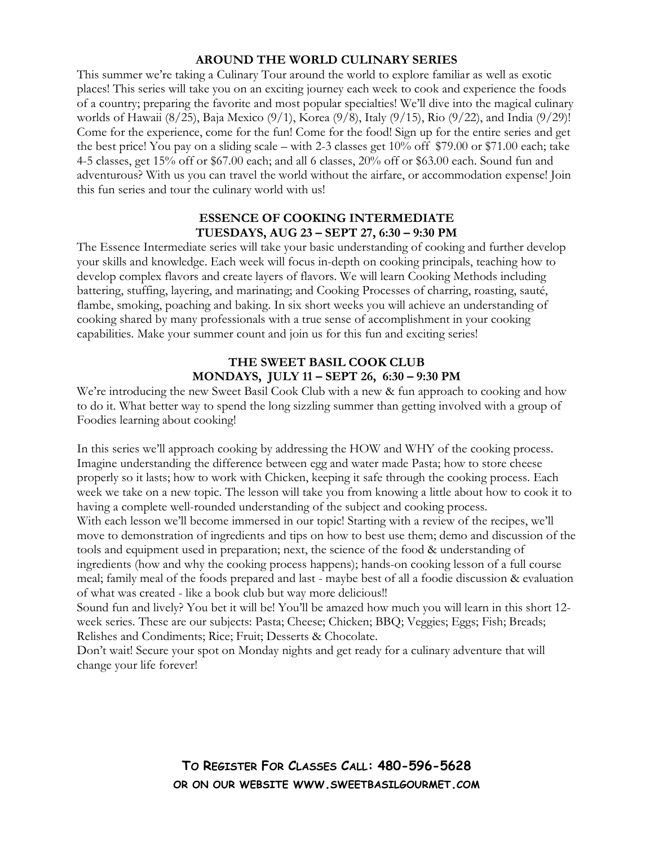#### AROUND THE WORLD CULINARY SERIES

This summer we're taking a Culinary Tour around the world to explore familiar as well as exotic places! This series will take you on an exciting journey each week to cook and experience the foods of a country; preparing the favorite and most popular specialties! We'll dive into the magical culinary worlds of Hawaii (8/25), Baja Mexico (9/1), Korea (9/8), Italy (9/15), Rio (9/22), and India (9/29)! Come for the experience, come for the fun! Come for the food! Sign up for the entire series and get the best price! You pay on a sliding scale – with 2-3 classes get 10% off \$79.00 or \$71.00 each; take 4-5 classes, get 15% off or \$67.00 each; and all 6 classes, 20% off or \$63.00 each. Sound fun and adventurous? With us you can travel the world without the airfare, or accommodation expense! Join this fun series and tour the culinary world with us!

#### ESSENCE OF COOKING INTERMEDIATE TUESDAYS, AUG 23 – SEPT 27, 6:30 – 9:30 PM

The Essence Intermediate series will take your basic understanding of cooking and further develop your skills and knowledge. Each week will focus in-depth on cooking principals, teaching how to develop complex flavors and create layers of flavors. We will learn Cooking Methods including battering, stuffing, layering, and marinating; and Cooking Processes of charring, roasting, sauté, flambe, smoking, poaching and baking. In six short weeks you will achieve an understanding of cooking shared by many professionals with a true sense of accomplishment in your cooking capabilities. Make your summer count and join us for this fun and exciting series!

#### THE SWEET BASIL COOK CLUB MONDAYS, JULY 11 – SEPT 26, 6:30 – 9:30 PM

We're introducing the new Sweet Basil Cook Club with a new & fun approach to cooking and how to do it. What better way to spend the long sizzling summer than getting involved with a group of Foodies learning about cooking!

In this series we'll approach cooking by addressing the HOW and WHY of the cooking process. Imagine understanding the difference between egg and water made Pasta; how to store cheese properly so it lasts; how to work with Chicken, keeping it safe through the cooking process. Each week we take on a new topic. The lesson will take you from knowing a little about how to cook it to having a complete well-rounded understanding of the subject and cooking process. With each lesson we'll become immersed in our topic! Starting with a review of the recipes, we'll move to demonstration of ingredients and tips on how to best use them; demo and discussion of the tools and equipment used in preparation; next, the science of the food & understanding of ingredients (how and why the cooking process happens); hands-on cooking lesson of a full course meal; family meal of the foods prepared and last - maybe best of all a foodie discussion & evaluation of what was created - like a book club but way more delicious!!

Sound fun and lively? You bet it will be! You'll be amazed how much you will learn in this short 12 week series. These are our subjects: Pasta; Cheese; Chicken; BBQ; Veggies; Eggs; Fish; Breads; Relishes and Condiments; Rice; Fruit; Desserts & Chocolate.

Don't wait! Secure your spot on Monday nights and get ready for a culinary adventure that will change your life forever!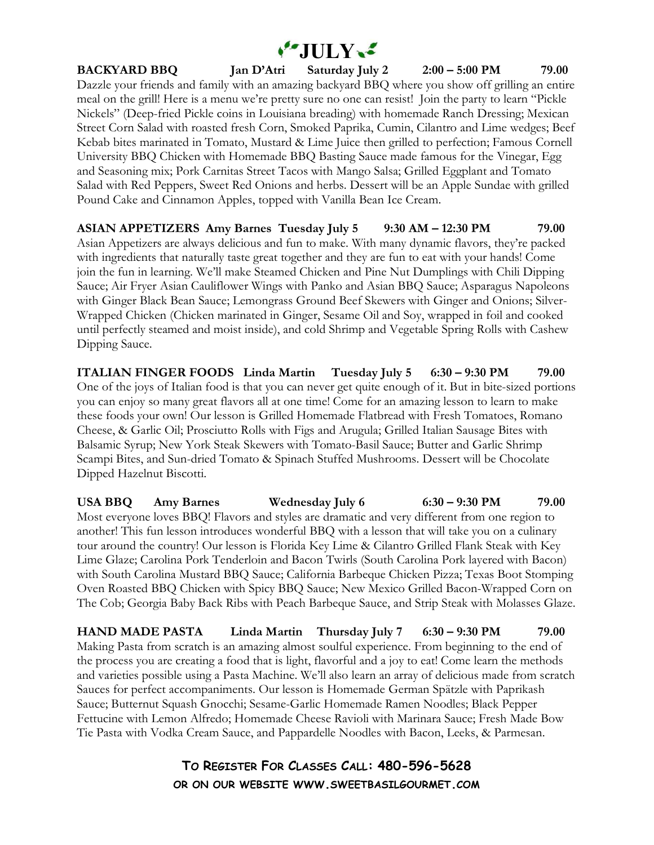

BACKYARD BBQ Jan D'Atri Saturday July 2 2:00 – 5:00 PM 79.00 Dazzle your friends and family with an amazing backyard BBQ where you show off grilling an entire meal on the grill! Here is a menu we're pretty sure no one can resist! Join the party to learn "Pickle Nickels" (Deep-fried Pickle coins in Louisiana breading) with homemade Ranch Dressing; Mexican Street Corn Salad with roasted fresh Corn, Smoked Paprika, Cumin, Cilantro and Lime wedges; Beef Kebab bites marinated in Tomato, Mustard & Lime Juice then grilled to perfection; Famous Cornell University BBQ Chicken with Homemade BBQ Basting Sauce made famous for the Vinegar, Egg and Seasoning mix; Pork Carnitas Street Tacos with Mango Salsa; Grilled Eggplant and Tomato Salad with Red Peppers, Sweet Red Onions and herbs. Dessert will be an Apple Sundae with grilled Pound Cake and Cinnamon Apples, topped with Vanilla Bean Ice Cream.

ASIAN APPETIZERS Amy Barnes Tuesday July 5 9:30 AM – 12:30 PM 79.00 Asian Appetizers are always delicious and fun to make. With many dynamic flavors, they're packed with ingredients that naturally taste great together and they are fun to eat with your hands! Come join the fun in learning. We'll make Steamed Chicken and Pine Nut Dumplings with Chili Dipping Sauce; Air Fryer Asian Cauliflower Wings with Panko and Asian BBQ Sauce; Asparagus Napoleons with Ginger Black Bean Sauce; Lemongrass Ground Beef Skewers with Ginger and Onions; Silver-Wrapped Chicken (Chicken marinated in Ginger, Sesame Oil and Soy, wrapped in foil and cooked until perfectly steamed and moist inside), and cold Shrimp and Vegetable Spring Rolls with Cashew Dipping Sauce.

ITALIAN FINGER FOODS Linda Martin Tuesday July 5 6:30 – 9:30 PM 79.00 One of the joys of Italian food is that you can never get quite enough of it. But in bite-sized portions you can enjoy so many great flavors all at one time! Come for an amazing lesson to learn to make these foods your own! Our lesson is Grilled Homemade Flatbread with Fresh Tomatoes, Romano Cheese, & Garlic Oil; Prosciutto Rolls with Figs and Arugula; Grilled Italian Sausage Bites with Balsamic Syrup; New York Steak Skewers with Tomato-Basil Sauce; Butter and Garlic Shrimp Scampi Bites, and Sun-dried Tomato & Spinach Stuffed Mushrooms. Dessert will be Chocolate Dipped Hazelnut Biscotti.

USA BBQ Amy Barnes Wednesday July 6 6:30 – 9:30 PM 79.00 Most everyone loves BBQ! Flavors and styles are dramatic and very different from one region to another! This fun lesson introduces wonderful BBQ with a lesson that will take you on a culinary tour around the country! Our lesson is Florida Key Lime & Cilantro Grilled Flank Steak with Key Lime Glaze; Carolina Pork Tenderloin and Bacon Twirls (South Carolina Pork layered with Bacon) with South Carolina Mustard BBQ Sauce; California Barbeque Chicken Pizza; Texas Boot Stomping Oven Roasted BBQ Chicken with Spicy BBQ Sauce; New Mexico Grilled Bacon-Wrapped Corn on The Cob; Georgia Baby Back Ribs with Peach Barbeque Sauce, and Strip Steak with Molasses Glaze.

HAND MADE PASTA Linda Martin Thursday July 7 6:30 – 9:30 PM 79.00 Making Pasta from scratch is an amazing almost soulful experience. From beginning to the end of the process you are creating a food that is light, flavorful and a joy to eat! Come learn the methods and varieties possible using a Pasta Machine. We'll also learn an array of delicious made from scratch Sauces for perfect accompaniments. Our lesson is Homemade German Spätzle with Paprikash Sauce; Butternut Squash Gnocchi; Sesame-Garlic Homemade Ramen Noodles; Black Pepper Fettucine with Lemon Alfredo; Homemade Cheese Ravioli with Marinara Sauce; Fresh Made Bow Tie Pasta with Vodka Cream Sauce, and Pappardelle Noodles with Bacon, Leeks, & Parmesan.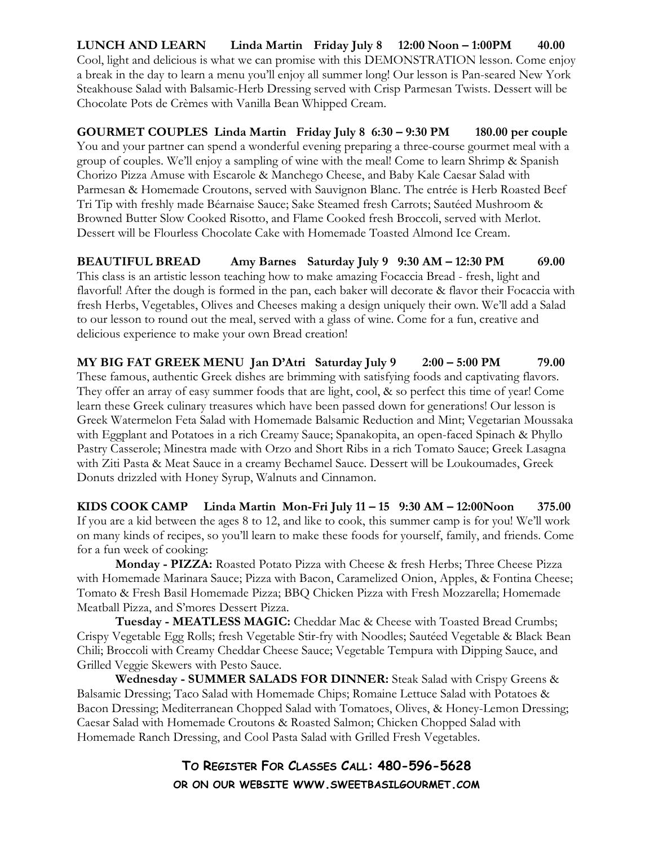LUNCH AND LEARN Linda Martin Friday July 8 12:00 Noon – 1:00PM 40.00 Cool, light and delicious is what we can promise with this DEMONSTRATION lesson. Come enjoy a break in the day to learn a menu you'll enjoy all summer long! Our lesson is Pan-seared New York Steakhouse Salad with Balsamic-Herb Dressing served with Crisp Parmesan Twists. Dessert will be Chocolate Pots de Crèmes with Vanilla Bean Whipped Cream.

GOURMET COUPLES Linda Martin Friday July 8 6:30 – 9:30 PM 180.00 per couple You and your partner can spend a wonderful evening preparing a three-course gourmet meal with a group of couples. We'll enjoy a sampling of wine with the meal! Come to learn Shrimp & Spanish Chorizo Pizza Amuse with Escarole & Manchego Cheese, and Baby Kale Caesar Salad with Parmesan & Homemade Croutons, served with Sauvignon Blanc. The entrée is Herb Roasted Beef Tri Tip with freshly made Béarnaise Sauce; Sake Steamed fresh Carrots; Sautéed Mushroom & Browned Butter Slow Cooked Risotto, and Flame Cooked fresh Broccoli, served with Merlot. Dessert will be Flourless Chocolate Cake with Homemade Toasted Almond Ice Cream.

BEAUTIFUL BREAD Amy Barnes Saturday July 9 9:30 AM - 12:30 PM 69.00 This class is an artistic lesson teaching how to make amazing Focaccia Bread - fresh, light and flavorful! After the dough is formed in the pan, each baker will decorate & flavor their Focaccia with fresh Herbs, Vegetables, Olives and Cheeses making a design uniquely their own. We'll add a Salad to our lesson to round out the meal, served with a glass of wine. Come for a fun, creative and delicious experience to make your own Bread creation!

MY BIG FAT GREEK MENU Jan D'Atri Saturday July 9 2:00 – 5:00 PM 79.00 These famous, authentic Greek dishes are brimming with satisfying foods and captivating flavors. They offer an array of easy summer foods that are light, cool, & so perfect this time of year! Come learn these Greek culinary treasures which have been passed down for generations! Our lesson is Greek Watermelon Feta Salad with Homemade Balsamic Reduction and Mint; Vegetarian Moussaka with Eggplant and Potatoes in a rich Creamy Sauce; Spanakopita, an open-faced Spinach & Phyllo Pastry Casserole; Minestra made with Orzo and Short Ribs in a rich Tomato Sauce; Greek Lasagna with Ziti Pasta & Meat Sauce in a creamy Bechamel Sauce. Dessert will be Loukoumades, Greek Donuts drizzled with Honey Syrup, Walnuts and Cinnamon.

KIDS COOK CAMP Linda Martin Mon-Fri July  $11 - 15$  9:30 AM  $- 12:00N$ oon 375.00 If you are a kid between the ages 8 to 12, and like to cook, this summer camp is for you! We'll work on many kinds of recipes, so you'll learn to make these foods for yourself, family, and friends. Come for a fun week of cooking:

Monday - PIZZA: Roasted Potato Pizza with Cheese & fresh Herbs; Three Cheese Pizza with Homemade Marinara Sauce; Pizza with Bacon, Caramelized Onion, Apples, & Fontina Cheese; Tomato & Fresh Basil Homemade Pizza; BBQ Chicken Pizza with Fresh Mozzarella; Homemade Meatball Pizza, and S'mores Dessert Pizza.

Tuesday - MEATLESS MAGIC: Cheddar Mac & Cheese with Toasted Bread Crumbs; Crispy Vegetable Egg Rolls; fresh Vegetable Stir-fry with Noodles; Sautéed Vegetable & Black Bean Chili; Broccoli with Creamy Cheddar Cheese Sauce; Vegetable Tempura with Dipping Sauce, and Grilled Veggie Skewers with Pesto Sauce.

Wednesday - SUMMER SALADS FOR DINNER: Steak Salad with Crispy Greens & Balsamic Dressing; Taco Salad with Homemade Chips; Romaine Lettuce Salad with Potatoes & Bacon Dressing; Mediterranean Chopped Salad with Tomatoes, Olives, & Honey-Lemon Dressing; Caesar Salad with Homemade Croutons & Roasted Salmon; Chicken Chopped Salad with Homemade Ranch Dressing, and Cool Pasta Salad with Grilled Fresh Vegetables.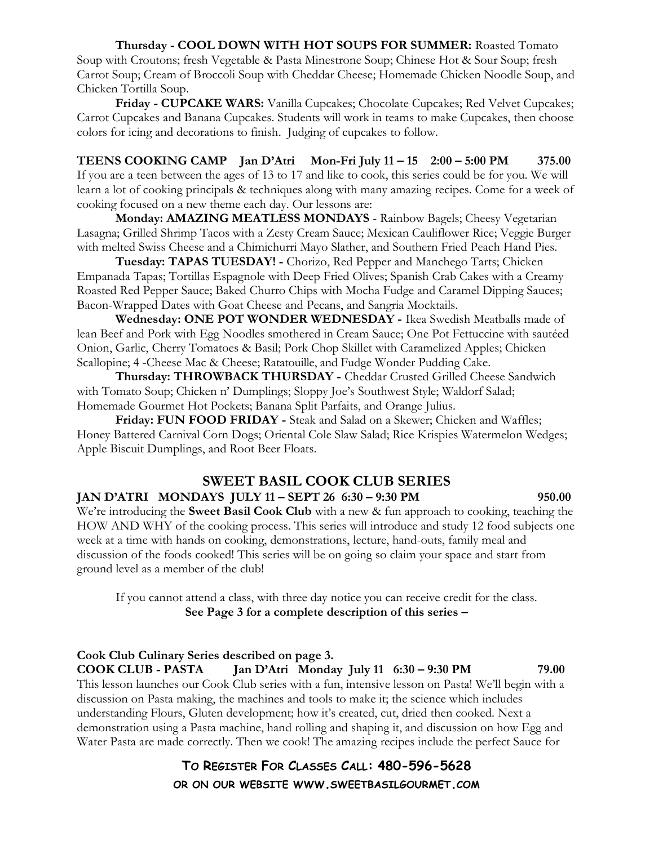Thursday - COOL DOWN WITH HOT SOUPS FOR SUMMER: Roasted Tomato Soup with Croutons; fresh Vegetable & Pasta Minestrone Soup; Chinese Hot & Sour Soup; fresh Carrot Soup; Cream of Broccoli Soup with Cheddar Cheese; Homemade Chicken Noodle Soup, and Chicken Tortilla Soup.

Friday - CUPCAKE WARS: Vanilla Cupcakes; Chocolate Cupcakes; Red Velvet Cupcakes; Carrot Cupcakes and Banana Cupcakes. Students will work in teams to make Cupcakes, then choose colors for icing and decorations to finish. Judging of cupcakes to follow.

TEENS COOKING CAMP Jan D'Atri Mon-Fri July 11 – 15 2:00 – 5:00 PM 375.00 If you are a teen between the ages of 13 to 17 and like to cook, this series could be for you. We will learn a lot of cooking principals & techniques along with many amazing recipes. Come for a week of cooking focused on a new theme each day. Our lessons are:

Monday: AMAZING MEATLESS MONDAYS - Rainbow Bagels; Cheesy Vegetarian Lasagna; Grilled Shrimp Tacos with a Zesty Cream Sauce; Mexican Cauliflower Rice; Veggie Burger with melted Swiss Cheese and a Chimichurri Mayo Slather, and Southern Fried Peach Hand Pies.

Tuesday: TAPAS TUESDAY! - Chorizo, Red Pepper and Manchego Tarts; Chicken Empanada Tapas; Tortillas Espagnole with Deep Fried Olives; Spanish Crab Cakes with a Creamy Roasted Red Pepper Sauce; Baked Churro Chips with Mocha Fudge and Caramel Dipping Sauces; Bacon-Wrapped Dates with Goat Cheese and Pecans, and Sangria Mocktails.

Wednesday: ONE POT WONDER WEDNESDAY - Ikea Swedish Meatballs made of lean Beef and Pork with Egg Noodles smothered in Cream Sauce; One Pot Fettuccine with sautéed Onion, Garlic, Cherry Tomatoes & Basil; Pork Chop Skillet with Caramelized Apples; Chicken Scallopine; 4 -Cheese Mac & Cheese; Ratatouille, and Fudge Wonder Pudding Cake.

Thursday: THROWBACK THURSDAY - Cheddar Crusted Grilled Cheese Sandwich with Tomato Soup; Chicken n' Dumplings; Sloppy Joe's Southwest Style; Waldorf Salad; Homemade Gourmet Hot Pockets; Banana Split Parfaits, and Orange Julius.

Friday: FUN FOOD FRIDAY - Steak and Salad on a Skewer; Chicken and Waffles; Honey Battered Carnival Corn Dogs; Oriental Cole Slaw Salad; Rice Krispies Watermelon Wedges; Apple Biscuit Dumplings, and Root Beer Floats.

# SWEET BASIL COOK CLUB SERIES

#### JAN D'ATRI MONDAYS JULY 11 – SEPT 26 6:30 – 9:30 PM 950.00

We're introducing the **Sweet Basil Cook Club** with a new & fun approach to cooking, teaching the HOW AND WHY of the cooking process. This series will introduce and study 12 food subjects one week at a time with hands on cooking, demonstrations, lecture, hand-outs, family meal and discussion of the foods cooked! This series will be on going so claim your space and start from ground level as a member of the club!

If you cannot attend a class, with three day notice you can receive credit for the class. See Page 3 for a complete description of this series –

Cook Club Culinary Series described on page 3. COOK CLUB - PASTA Jan D'Atri Monday July 11 6:30 – 9:30 PM 79.00 This lesson launches our Cook Club series with a fun, intensive lesson on Pasta! We'll begin with a discussion on Pasta making, the machines and tools to make it; the science which includes understanding Flours, Gluten development; how it's created, cut, dried then cooked. Next a demonstration using a Pasta machine, hand rolling and shaping it, and discussion on how Egg and Water Pasta are made correctly. Then we cook! The amazing recipes include the perfect Sauce for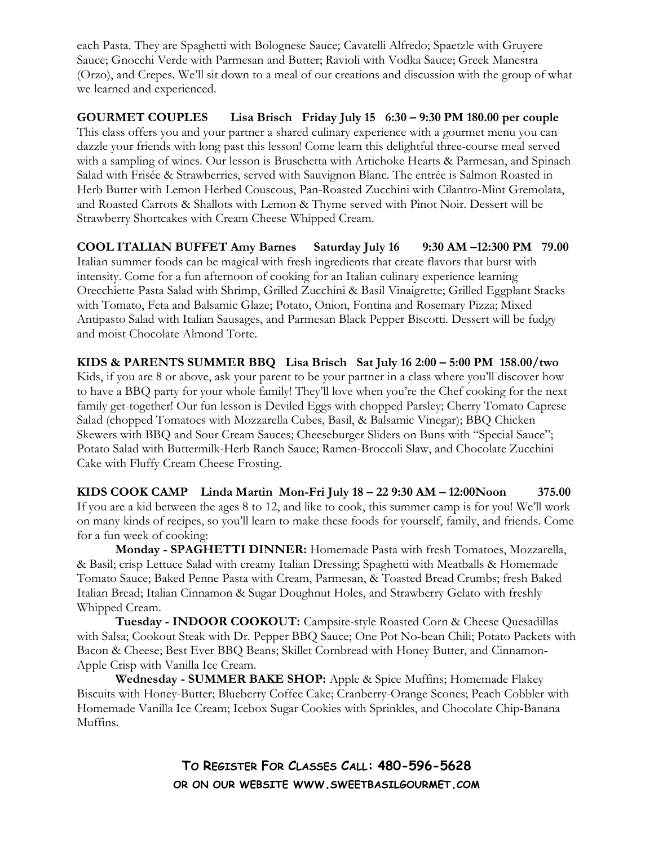each Pasta. They are Spaghetti with Bolognese Sauce; Cavatelli Alfredo; Spaetzle with Gruyere Sauce; Gnocchi Verde with Parmesan and Butter; Ravioli with Vodka Sauce; Greek Manestra (Orzo), and Crepes. We'll sit down to a meal of our creations and discussion with the group of what we learned and experienced.

GOURMET COUPLES Lisa Brisch Friday July 15 6:30 – 9:30 PM 180.00 per couple This class offers you and your partner a shared culinary experience with a gourmet menu you can dazzle your friends with long past this lesson! Come learn this delightful three-course meal served with a sampling of wines. Our lesson is Bruschetta with Artichoke Hearts & Parmesan, and Spinach Salad with Frisée & Strawberries, served with Sauvignon Blanc. The entrée is Salmon Roasted in Herb Butter with Lemon Herbed Couscous, Pan-Roasted Zucchini with Cilantro-Mint Gremolata, and Roasted Carrots & Shallots with Lemon & Thyme served with Pinot Noir. Dessert will be Strawberry Shortcakes with Cream Cheese Whipped Cream.

COOL ITALIAN BUFFET Amy Barnes Saturday July 16 9:30 AM –12:300 PM 79.00 Italian summer foods can be magical with fresh ingredients that create flavors that burst with intensity. Come for a fun afternoon of cooking for an Italian culinary experience learning Orecchiette Pasta Salad with Shrimp, Grilled Zucchini & Basil Vinaigrette; Grilled Eggplant Stacks with Tomato, Feta and Balsamic Glaze; Potato, Onion, Fontina and Rosemary Pizza; Mixed Antipasto Salad with Italian Sausages, and Parmesan Black Pepper Biscotti. Dessert will be fudgy and moist Chocolate Almond Torte.

KIDS & PARENTS SUMMER BBQ Lisa Brisch Sat July 16 2:00 – 5:00 PM 158.00/two Kids, if you are 8 or above, ask your parent to be your partner in a class where you'll discover how to have a BBQ party for your whole family! They'll love when you're the Chef cooking for the next family get-together! Our fun lesson is Deviled Eggs with chopped Parsley; Cherry Tomato Caprese Salad (chopped Tomatoes with Mozzarella Cubes, Basil, & Balsamic Vinegar); BBQ Chicken Skewers with BBQ and Sour Cream Sauces; Cheeseburger Sliders on Buns with "Special Sauce"; Potato Salad with Buttermilk-Herb Ranch Sauce; Ramen-Broccoli Slaw, and Chocolate Zucchini Cake with Fluffy Cream Cheese Frosting.

KIDS COOK CAMP Linda Martin Mon-Fri July 18 – 22 9:30 AM – 12:00Noon 375.00 If you are a kid between the ages 8 to 12, and like to cook, this summer camp is for you! We'll work on many kinds of recipes, so you'll learn to make these foods for yourself, family, and friends. Come for a fun week of cooking:

Monday - SPAGHETTI DINNER: Homemade Pasta with fresh Tomatoes, Mozzarella, & Basil; crisp Lettuce Salad with creamy Italian Dressing; Spaghetti with Meatballs & Homemade Tomato Sauce; Baked Penne Pasta with Cream, Parmesan, & Toasted Bread Crumbs; fresh Baked Italian Bread; Italian Cinnamon & Sugar Doughnut Holes, and Strawberry Gelato with freshly Whipped Cream.

 Tuesday - INDOOR COOKOUT: Campsite-style Roasted Corn & Cheese Quesadillas with Salsa; Cookout Steak with Dr. Pepper BBQ Sauce; One Pot No-bean Chili; Potato Packets with Bacon & Cheese; Best Ever BBQ Beans; Skillet Cornbread with Honey Butter, and Cinnamon-Apple Crisp with Vanilla Ice Cream.

Wednesday - SUMMER BAKE SHOP: Apple & Spice Muffins; Homemade Flakey Biscuits with Honey-Butter; Blueberry Coffee Cake; Cranberry-Orange Scones; Peach Cobbler with Homemade Vanilla Ice Cream; Icebox Sugar Cookies with Sprinkles, and Chocolate Chip-Banana Muffins.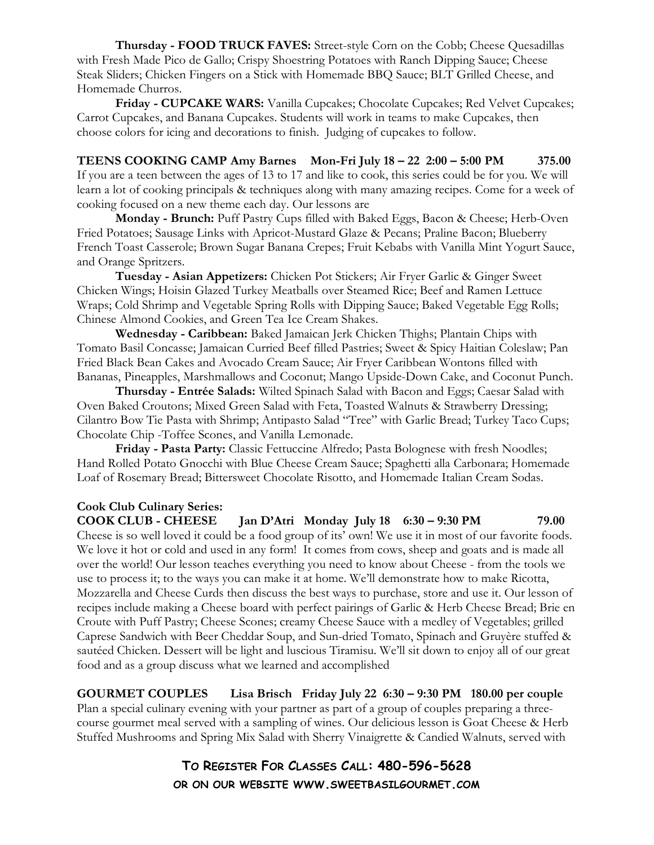Thursday - FOOD TRUCK FAVES: Street-style Corn on the Cobb; Cheese Quesadillas with Fresh Made Pico de Gallo; Crispy Shoestring Potatoes with Ranch Dipping Sauce; Cheese Steak Sliders; Chicken Fingers on a Stick with Homemade BBQ Sauce; BLT Grilled Cheese, and Homemade Churros.

Friday - CUPCAKE WARS: Vanilla Cupcakes; Chocolate Cupcakes; Red Velvet Cupcakes; Carrot Cupcakes, and Banana Cupcakes. Students will work in teams to make Cupcakes, then choose colors for icing and decorations to finish. Judging of cupcakes to follow.

TEENS COOKING CAMP Amy Barnes Mon-Fri July 18 – 22 2:00 – 5:00 PM 375.00 If you are a teen between the ages of 13 to 17 and like to cook, this series could be for you. We will learn a lot of cooking principals & techniques along with many amazing recipes. Come for a week of cooking focused on a new theme each day. Our lessons are

Monday - Brunch: Puff Pastry Cups filled with Baked Eggs, Bacon & Cheese; Herb-Oven Fried Potatoes; Sausage Links with Apricot-Mustard Glaze & Pecans; Praline Bacon; Blueberry French Toast Casserole; Brown Sugar Banana Crepes; Fruit Kebabs with Vanilla Mint Yogurt Sauce, and Orange Spritzers.

Tuesday - Asian Appetizers: Chicken Pot Stickers; Air Fryer Garlic & Ginger Sweet Chicken Wings; Hoisin Glazed Turkey Meatballs over Steamed Rice; Beef and Ramen Lettuce Wraps; Cold Shrimp and Vegetable Spring Rolls with Dipping Sauce; Baked Vegetable Egg Rolls; Chinese Almond Cookies, and Green Tea Ice Cream Shakes.

Wednesday - Caribbean: Baked Jamaican Jerk Chicken Thighs; Plantain Chips with Tomato Basil Concasse; Jamaican Curried Beef filled Pastries; Sweet & Spicy Haitian Coleslaw; Pan Fried Black Bean Cakes and Avocado Cream Sauce; Air Fryer Caribbean Wontons filled with Bananas, Pineapples, Marshmallows and Coconut; Mango Upside-Down Cake, and Coconut Punch.

Thursday - Entrée Salads: Wilted Spinach Salad with Bacon and Eggs; Caesar Salad with Oven Baked Croutons; Mixed Green Salad with Feta, Toasted Walnuts & Strawberry Dressing; Cilantro Bow Tie Pasta with Shrimp; Antipasto Salad "Tree" with Garlic Bread; Turkey Taco Cups; Chocolate Chip -Toffee Scones, and Vanilla Lemonade.

Friday - Pasta Party: Classic Fettuccine Alfredo; Pasta Bolognese with fresh Noodles; Hand Rolled Potato Gnocchi with Blue Cheese Cream Sauce; Spaghetti alla Carbonara; Homemade Loaf of Rosemary Bread; Bittersweet Chocolate Risotto, and Homemade Italian Cream Sodas.

# Cook Club Culinary Series:

COOK CLUB - CHEESE Jan D'Atri Monday July 18 6:30 – 9:30 PM 79.00 Cheese is so well loved it could be a food group of its' own! We use it in most of our favorite foods. We love it hot or cold and used in any form! It comes from cows, sheep and goats and is made all over the world! Our lesson teaches everything you need to know about Cheese - from the tools we use to process it; to the ways you can make it at home. We'll demonstrate how to make Ricotta, Mozzarella and Cheese Curds then discuss the best ways to purchase, store and use it. Our lesson of recipes include making a Cheese board with perfect pairings of Garlic & Herb Cheese Bread; Brie en Croute with Puff Pastry; Cheese Scones; creamy Cheese Sauce with a medley of Vegetables; grilled Caprese Sandwich with Beer Cheddar Soup, and Sun-dried Tomato, Spinach and Gruyère stuffed & sautéed Chicken. Dessert will be light and luscious Tiramisu. We'll sit down to enjoy all of our great food and as a group discuss what we learned and accomplished

GOURMET COUPLES Lisa Brisch Friday July 22 6:30 – 9:30 PM 180.00 per couple

Plan a special culinary evening with your partner as part of a group of couples preparing a threecourse gourmet meal served with a sampling of wines. Our delicious lesson is Goat Cheese & Herb Stuffed Mushrooms and Spring Mix Salad with Sherry Vinaigrette & Candied Walnuts, served with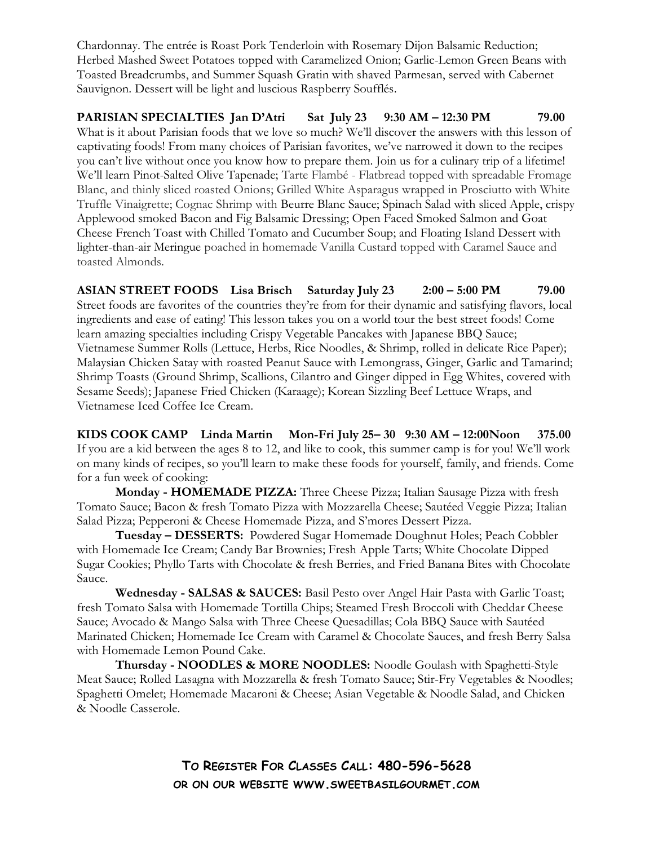Chardonnay. The entrée is Roast Pork Tenderloin with Rosemary Dijon Balsamic Reduction; Herbed Mashed Sweet Potatoes topped with Caramelized Onion; Garlic-Lemon Green Beans with Toasted Breadcrumbs, and Summer Squash Gratin with shaved Parmesan, served with Cabernet Sauvignon. Dessert will be light and luscious Raspberry Soufflés.

PARISIAN SPECIALTIES Jan D'Atri Sat July 23 9:30 AM – 12:30 PM 79.00 What is it about Parisian foods that we love so much? We'll discover the answers with this lesson of captivating foods! From many choices of Parisian favorites, we've narrowed it down to the recipes you can't live without once you know how to prepare them. Join us for a culinary trip of a lifetime! We'll learn Pinot-Salted Olive Tapenade; Tarte Flambé - Flatbread topped with spreadable Fromage Blanc, and thinly sliced roasted Onions; Grilled White Asparagus wrapped in Prosciutto with White Truffle Vinaigrette; Cognac Shrimp with Beurre Blanc Sauce; Spinach Salad with sliced Apple, crispy Applewood smoked Bacon and Fig Balsamic Dressing; Open Faced Smoked Salmon and Goat Cheese French Toast with Chilled Tomato and Cucumber Soup; and Floating Island Dessert with lighter-than-air Meringue poached in homemade Vanilla Custard topped with Caramel Sauce and toasted Almonds.

ASIAN STREET FOODS Lisa Brisch Saturday July 23 2:00 – 5:00 PM 79.00 Street foods are favorites of the countries they're from for their dynamic and satisfying flavors, local ingredients and ease of eating! This lesson takes you on a world tour the best street foods! Come learn amazing specialties including Crispy Vegetable Pancakes with Japanese BBQ Sauce; Vietnamese Summer Rolls (Lettuce, Herbs, Rice Noodles, & Shrimp, rolled in delicate Rice Paper); Malaysian Chicken Satay with roasted Peanut Sauce with Lemongrass, Ginger, Garlic and Tamarind; Shrimp Toasts (Ground Shrimp, Scallions, Cilantro and Ginger dipped in Egg Whites, covered with Sesame Seeds); Japanese Fried Chicken (Karaage); Korean Sizzling Beef Lettuce Wraps, and Vietnamese Iced Coffee Ice Cream.

KIDS COOK CAMP Linda Martin Mon-Fri July 25– 30 9:30 AM – 12:00Noon 375.00 If you are a kid between the ages 8 to 12, and like to cook, this summer camp is for you! We'll work on many kinds of recipes, so you'll learn to make these foods for yourself, family, and friends. Come for a fun week of cooking:

Monday - HOMEMADE PIZZA: Three Cheese Pizza; Italian Sausage Pizza with fresh Tomato Sauce; Bacon & fresh Tomato Pizza with Mozzarella Cheese; Sautéed Veggie Pizza; Italian Salad Pizza; Pepperoni & Cheese Homemade Pizza, and S'mores Dessert Pizza.

Tuesday – DESSERTS: Powdered Sugar Homemade Doughnut Holes; Peach Cobbler with Homemade Ice Cream; Candy Bar Brownies; Fresh Apple Tarts; White Chocolate Dipped Sugar Cookies; Phyllo Tarts with Chocolate & fresh Berries, and Fried Banana Bites with Chocolate Sauce.

Wednesday - SALSAS & SAUCES: Basil Pesto over Angel Hair Pasta with Garlic Toast; fresh Tomato Salsa with Homemade Tortilla Chips; Steamed Fresh Broccoli with Cheddar Cheese Sauce; Avocado & Mango Salsa with Three Cheese Quesadillas; Cola BBQ Sauce with Sautéed Marinated Chicken; Homemade Ice Cream with Caramel & Chocolate Sauces, and fresh Berry Salsa with Homemade Lemon Pound Cake.

Thursday - NOODLES & MORE NOODLES: Noodle Goulash with Spaghetti-Style Meat Sauce; Rolled Lasagna with Mozzarella & fresh Tomato Sauce; Stir-Fry Vegetables & Noodles; Spaghetti Omelet; Homemade Macaroni & Cheese; Asian Vegetable & Noodle Salad, and Chicken & Noodle Casserole.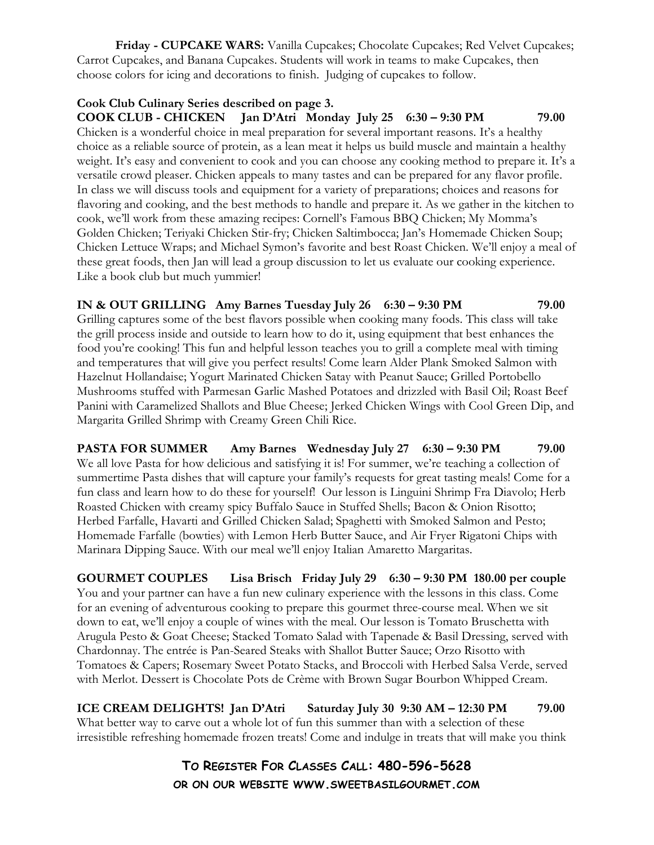Friday - CUPCAKE WARS: Vanilla Cupcakes; Chocolate Cupcakes; Red Velvet Cupcakes; Carrot Cupcakes, and Banana Cupcakes. Students will work in teams to make Cupcakes, then choose colors for icing and decorations to finish. Judging of cupcakes to follow.

#### Cook Club Culinary Series described on page 3.

COOK CLUB - CHICKEN Jan D'Atri Monday July 25 6:30 – 9:30 PM 79.00 Chicken is a wonderful choice in meal preparation for several important reasons. It's a healthy choice as a reliable source of protein, as a lean meat it helps us build muscle and maintain a healthy weight. It's easy and convenient to cook and you can choose any cooking method to prepare it. It's a versatile crowd pleaser. Chicken appeals to many tastes and can be prepared for any flavor profile. In class we will discuss tools and equipment for a variety of preparations; choices and reasons for flavoring and cooking, and the best methods to handle and prepare it. As we gather in the kitchen to cook, we'll work from these amazing recipes: Cornell's Famous BBQ Chicken; My Momma's Golden Chicken; Teriyaki Chicken Stir-fry; Chicken Saltimbocca; Jan's Homemade Chicken Soup; Chicken Lettuce Wraps; and Michael Symon's favorite and best Roast Chicken. We'll enjoy a meal of these great foods, then Jan will lead a group discussion to let us evaluate our cooking experience. Like a book club but much yummier!

IN & OUT GRILLING Amy Barnes Tuesday July 26 6:30 – 9:30 PM 79.00 Grilling captures some of the best flavors possible when cooking many foods. This class will take the grill process inside and outside to learn how to do it, using equipment that best enhances the food you're cooking! This fun and helpful lesson teaches you to grill a complete meal with timing and temperatures that will give you perfect results! Come learn Alder Plank Smoked Salmon with Hazelnut Hollandaise; Yogurt Marinated Chicken Satay with Peanut Sauce; Grilled Portobello Mushrooms stuffed with Parmesan Garlic Mashed Potatoes and drizzled with Basil Oil; Roast Beef Panini with Caramelized Shallots and Blue Cheese; Jerked Chicken Wings with Cool Green Dip, and Margarita Grilled Shrimp with Creamy Green Chili Rice.

PASTA FOR SUMMER Amy Barnes Wednesday July 27 6:30 – 9:30 PM 79.00 We all love Pasta for how delicious and satisfying it is! For summer, we're teaching a collection of summertime Pasta dishes that will capture your family's requests for great tasting meals! Come for a fun class and learn how to do these for yourself! Our lesson is Linguini Shrimp Fra Diavolo; Herb Roasted Chicken with creamy spicy Buffalo Sauce in Stuffed Shells; Bacon & Onion Risotto; Herbed Farfalle, Havarti and Grilled Chicken Salad; Spaghetti with Smoked Salmon and Pesto; Homemade Farfalle (bowties) with Lemon Herb Butter Sauce, and Air Fryer Rigatoni Chips with Marinara Dipping Sauce. With our meal we'll enjoy Italian Amaretto Margaritas.

GOURMET COUPLES Lisa Brisch Friday July 29 6:30 – 9:30 PM 180.00 per couple You and your partner can have a fun new culinary experience with the lessons in this class. Come for an evening of adventurous cooking to prepare this gourmet three-course meal. When we sit down to eat, we'll enjoy a couple of wines with the meal. Our lesson is Tomato Bruschetta with Arugula Pesto & Goat Cheese; Stacked Tomato Salad with Tapenade & Basil Dressing, served with Chardonnay. The entrée is Pan-Seared Steaks with Shallot Butter Sauce; Orzo Risotto with Tomatoes & Capers; Rosemary Sweet Potato Stacks, and Broccoli with Herbed Salsa Verde, served with Merlot. Dessert is Chocolate Pots de Crème with Brown Sugar Bourbon Whipped Cream.

ICE CREAM DELIGHTS! Jan D'Atri Saturday July 30 9:30 AM – 12:30 PM 79.00 What better way to carve out a whole lot of fun this summer than with a selection of these irresistible refreshing homemade frozen treats! Come and indulge in treats that will make you think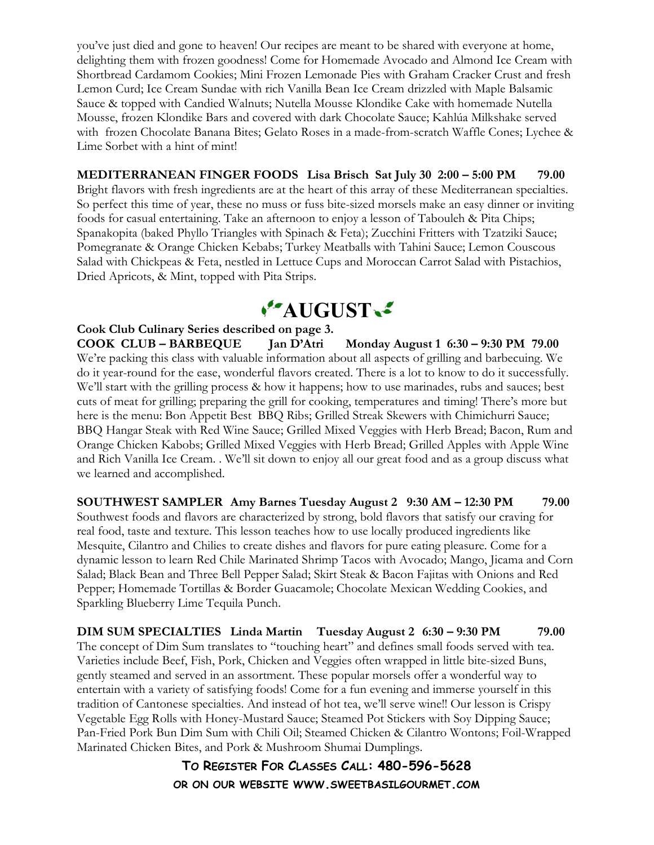you've just died and gone to heaven! Our recipes are meant to be shared with everyone at home, delighting them with frozen goodness! Come for Homemade Avocado and Almond Ice Cream with Shortbread Cardamom Cookies; Mini Frozen Lemonade Pies with Graham Cracker Crust and fresh Lemon Curd; Ice Cream Sundae with rich Vanilla Bean Ice Cream drizzled with Maple Balsamic Sauce & topped with Candied Walnuts; Nutella Mousse Klondike Cake with homemade Nutella Mousse, frozen Klondike Bars and covered with dark Chocolate Sauce; Kahlúa Milkshake served with frozen Chocolate Banana Bites; Gelato Roses in a made-from-scratch Waffle Cones; Lychee & Lime Sorbet with a hint of mint!

MEDITERRANEAN FINGER FOODS Lisa Brisch Sat July 30 2:00 – 5:00 PM 79.00 Bright flavors with fresh ingredients are at the heart of this array of these Mediterranean specialties. So perfect this time of year, these no muss or fuss bite-sized morsels make an easy dinner or inviting foods for casual entertaining. Take an afternoon to enjoy a lesson of Tabouleh & Pita Chips; Spanakopita (baked Phyllo Triangles with Spinach & Feta); Zucchini Fritters with Tzatziki Sauce; Pomegranate & Orange Chicken Kebabs; Turkey Meatballs with Tahini Sauce; Lemon Couscous Salad with Chickpeas & Feta, nestled in Lettuce Cups and Moroccan Carrot Salad with Pistachios, Dried Apricots, & Mint, topped with Pita Strips.



Cook Club Culinary Series described on page 3.

COOK CLUB – BARBEQUE Jan D'Atri Monday August 1 6:30 – 9:30 PM 79.00 We're packing this class with valuable information about all aspects of grilling and barbecuing. We do it year-round for the ease, wonderful flavors created. There is a lot to know to do it successfully. We'll start with the grilling process & how it happens; how to use marinades, rubs and sauces; best cuts of meat for grilling; preparing the grill for cooking, temperatures and timing! There's more but here is the menu: Bon Appetit Best BBQ Ribs; Grilled Streak Skewers with Chimichurri Sauce; BBQ Hangar Steak with Red Wine Sauce; Grilled Mixed Veggies with Herb Bread; Bacon, Rum and Orange Chicken Kabobs; Grilled Mixed Veggies with Herb Bread; Grilled Apples with Apple Wine and Rich Vanilla Ice Cream. . We'll sit down to enjoy all our great food and as a group discuss what we learned and accomplished.

SOUTHWEST SAMPLER Amy Barnes Tuesday August 2 9:30 AM – 12:30 PM 79.00 Southwest foods and flavors are characterized by strong, bold flavors that satisfy our craving for real food, taste and texture. This lesson teaches how to use locally produced ingredients like Mesquite, Cilantro and Chilies to create dishes and flavors for pure eating pleasure. Come for a

dynamic lesson to learn Red Chile Marinated Shrimp Tacos with Avocado; Mango, Jicama and Corn Salad; Black Bean and Three Bell Pepper Salad; Skirt Steak & Bacon Fajitas with Onions and Red Pepper; Homemade Tortillas & Border Guacamole; Chocolate Mexican Wedding Cookies, and Sparkling Blueberry Lime Tequila Punch.

DIM SUM SPECIALTIES Linda Martin Tuesday August 2 6:30 – 9:30 PM 79.00 The concept of Dim Sum translates to "touching heart" and defines small foods served with tea. Varieties include Beef, Fish, Pork, Chicken and Veggies often wrapped in little bite-sized Buns, gently steamed and served in an assortment. These popular morsels offer a wonderful way to entertain with a variety of satisfying foods! Come for a fun evening and immerse yourself in this tradition of Cantonese specialties. And instead of hot tea, we'll serve wine!! Our lesson is Crispy Vegetable Egg Rolls with Honey-Mustard Sauce; Steamed Pot Stickers with Soy Dipping Sauce; Pan-Fried Pork Bun Dim Sum with Chili Oil; Steamed Chicken & Cilantro Wontons; Foil-Wrapped Marinated Chicken Bites, and Pork & Mushroom Shumai Dumplings.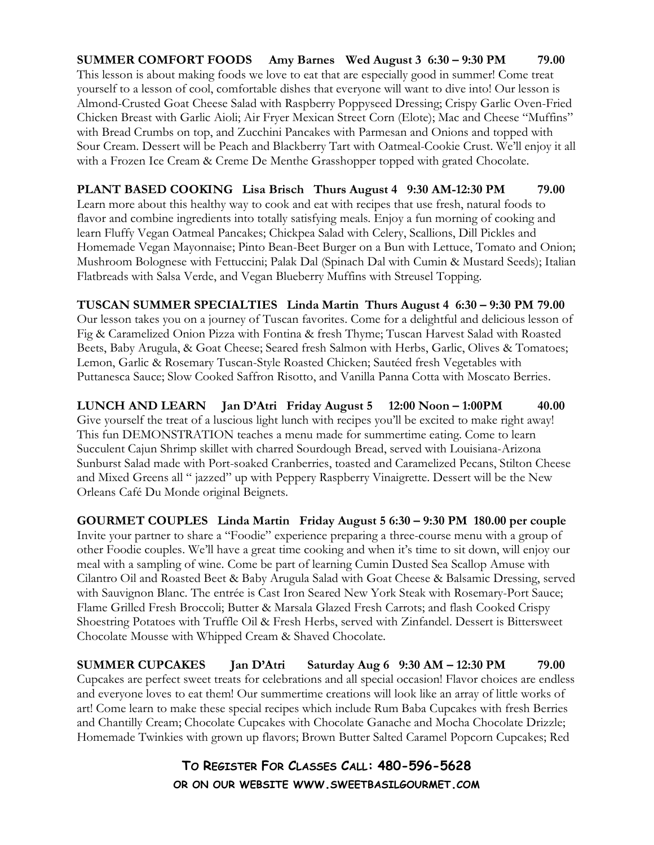SUMMER COMFORT FOODS Amy Barnes Wed August 3 6:30 – 9:30 PM 79.00 This lesson is about making foods we love to eat that are especially good in summer! Come treat yourself to a lesson of cool, comfortable dishes that everyone will want to dive into! Our lesson is Almond-Crusted Goat Cheese Salad with Raspberry Poppyseed Dressing; Crispy Garlic Oven-Fried Chicken Breast with Garlic Aioli; Air Fryer Mexican Street Corn (Elote); Mac and Cheese "Muffins" with Bread Crumbs on top, and Zucchini Pancakes with Parmesan and Onions and topped with Sour Cream. Dessert will be Peach and Blackberry Tart with Oatmeal-Cookie Crust. We'll enjoy it all with a Frozen Ice Cream & Creme De Menthe Grasshopper topped with grated Chocolate.

PLANT BASED COOKING Lisa Brisch Thurs August 4 9:30 AM-12:30 PM 79.00 Learn more about this healthy way to cook and eat with recipes that use fresh, natural foods to flavor and combine ingredients into totally satisfying meals. Enjoy a fun morning of cooking and learn Fluffy Vegan Oatmeal Pancakes; Chickpea Salad with Celery, Scallions, Dill Pickles and Homemade Vegan Mayonnaise; Pinto Bean-Beet Burger on a Bun with Lettuce, Tomato and Onion; Mushroom Bolognese with Fettuccini; Palak Dal (Spinach Dal with Cumin & Mustard Seeds); Italian Flatbreads with Salsa Verde, and Vegan Blueberry Muffins with Streusel Topping.

TUSCAN SUMMER SPECIALTIES Linda Martin Thurs August 4 6:30 – 9:30 PM 79.00

Our lesson takes you on a journey of Tuscan favorites. Come for a delightful and delicious lesson of Fig & Caramelized Onion Pizza with Fontina & fresh Thyme; Tuscan Harvest Salad with Roasted Beets, Baby Arugula, & Goat Cheese; Seared fresh Salmon with Herbs, Garlic, Olives & Tomatoes; Lemon, Garlic & Rosemary Tuscan-Style Roasted Chicken; Sautéed fresh Vegetables with Puttanesca Sauce; Slow Cooked Saffron Risotto, and Vanilla Panna Cotta with Moscato Berries.

LUNCH AND LEARN Jan D'Atri Friday August 5 12:00 Noon – 1:00PM 40.00 Give yourself the treat of a luscious light lunch with recipes you'll be excited to make right away! This fun DEMONSTRATION teaches a menu made for summertime eating. Come to learn Succulent Cajun Shrimp skillet with charred Sourdough Bread, served with Louisiana-Arizona Sunburst Salad made with Port-soaked Cranberries, toasted and Caramelized Pecans, Stilton Cheese and Mixed Greens all " jazzed" up with Peppery Raspberry Vinaigrette. Dessert will be the New Orleans Café Du Monde original Beignets.

GOURMET COUPLES Linda Martin Friday August 5 6:30 – 9:30 PM 180.00 per couple Invite your partner to share a "Foodie" experience preparing a three-course menu with a group of other Foodie couples. We'll have a great time cooking and when it's time to sit down, will enjoy our meal with a sampling of wine. Come be part of learning Cumin Dusted Sea Scallop Amuse with Cilantro Oil and Roasted Beet & Baby Arugula Salad with Goat Cheese & Balsamic Dressing, served with Sauvignon Blanc. The entrée is Cast Iron Seared New York Steak with Rosemary-Port Sauce; Flame Grilled Fresh Broccoli; Butter & Marsala Glazed Fresh Carrots; and flash Cooked Crispy Shoestring Potatoes with Truffle Oil & Fresh Herbs, served with Zinfandel. Dessert is Bittersweet Chocolate Mousse with Whipped Cream & Shaved Chocolate.

SUMMER CUPCAKES Jan D'Atri Saturday Aug 6 9:30 AM – 12:30 PM 79.00 Cupcakes are perfect sweet treats for celebrations and all special occasion! Flavor choices are endless and everyone loves to eat them! Our summertime creations will look like an array of little works of art! Come learn to make these special recipes which include Rum Baba Cupcakes with fresh Berries and Chantilly Cream; Chocolate Cupcakes with Chocolate Ganache and Mocha Chocolate Drizzle; Homemade Twinkies with grown up flavors; Brown Butter Salted Caramel Popcorn Cupcakes; Red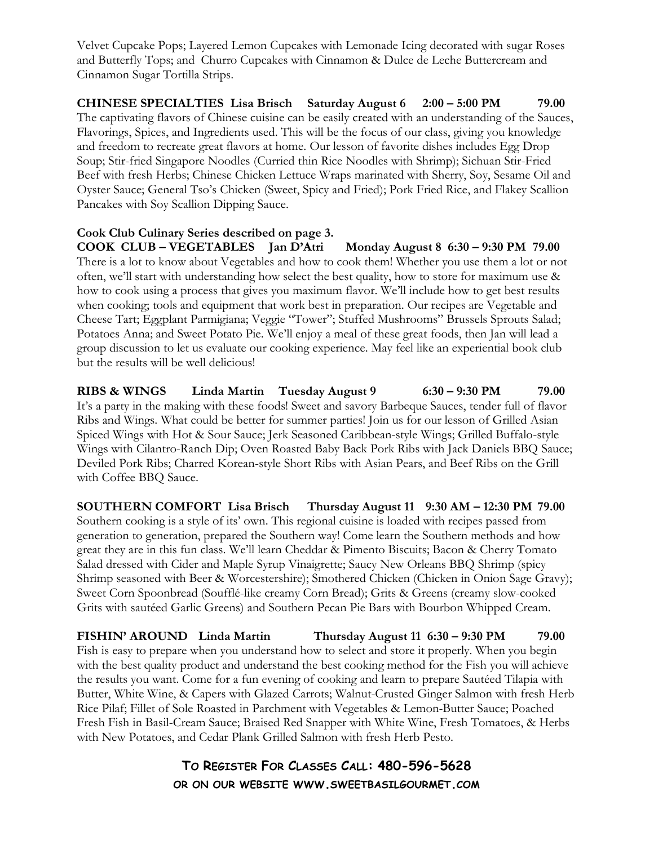Velvet Cupcake Pops; Layered Lemon Cupcakes with Lemonade Icing decorated with sugar Roses and Butterfly Tops; and Churro Cupcakes with Cinnamon & Dulce de Leche Buttercream and Cinnamon Sugar Tortilla Strips.

CHINESE SPECIALTIES Lisa Brisch Saturday August 6 2:00 – 5:00 PM 79.00 The captivating flavors of Chinese cuisine can be easily created with an understanding of the Sauces, Flavorings, Spices, and Ingredients used. This will be the focus of our class, giving you knowledge and freedom to recreate great flavors at home. Our lesson of favorite dishes includes Egg Drop Soup; Stir-fried Singapore Noodles (Curried thin Rice Noodles with Shrimp); Sichuan Stir-Fried Beef with fresh Herbs; Chinese Chicken Lettuce Wraps marinated with Sherry, Soy, Sesame Oil and Oyster Sauce; General Tso's Chicken (Sweet, Spicy and Fried); Pork Fried Rice, and Flakey Scallion Pancakes with Soy Scallion Dipping Sauce.

Cook Club Culinary Series described on page 3. COOK CLUB – VEGETABLES Jan D'Atri Monday August 8 6:30 – 9:30 PM 79.00 There is a lot to know about Vegetables and how to cook them! Whether you use them a lot or not often, we'll start with understanding how select the best quality, how to store for maximum use & how to cook using a process that gives you maximum flavor. We'll include how to get best results when cooking; tools and equipment that work best in preparation. Our recipes are Vegetable and Cheese Tart; Eggplant Parmigiana; Veggie "Tower"; Stuffed Mushrooms" Brussels Sprouts Salad; Potatoes Anna; and Sweet Potato Pie. We'll enjoy a meal of these great foods, then Jan will lead a group discussion to let us evaluate our cooking experience. May feel like an experiential book club but the results will be well delicious!

RIBS & WINGS Linda Martin Tuesday August 9 6:30 – 9:30 PM 79.00 It's a party in the making with these foods! Sweet and savory Barbeque Sauces, tender full of flavor Ribs and Wings. What could be better for summer parties! Join us for our lesson of Grilled Asian Spiced Wings with Hot & Sour Sauce; Jerk Seasoned Caribbean-style Wings; Grilled Buffalo-style Wings with Cilantro-Ranch Dip; Oven Roasted Baby Back Pork Ribs with Jack Daniels BBQ Sauce; Deviled Pork Ribs; Charred Korean-style Short Ribs with Asian Pears, and Beef Ribs on the Grill with Coffee BBQ Sauce.

SOUTHERN COMFORT Lisa Brisch Thursday August 11 9:30 AM – 12:30 PM 79.00 Southern cooking is a style of its' own. This regional cuisine is loaded with recipes passed from generation to generation, prepared the Southern way! Come learn the Southern methods and how great they are in this fun class. We'll learn Cheddar & Pimento Biscuits; Bacon & Cherry Tomato Salad dressed with Cider and Maple Syrup Vinaigrette; Saucy New Orleans BBQ Shrimp (spicy Shrimp seasoned with Beer & Worcestershire); Smothered Chicken (Chicken in Onion Sage Gravy); Sweet Corn Spoonbread (Soufflé-like creamy Corn Bread); Grits & Greens (creamy slow-cooked Grits with sautéed Garlic Greens) and Southern Pecan Pie Bars with Bourbon Whipped Cream.

FISHIN' AROUND Linda Martin Thursday August 11 6:30 – 9:30 PM 79.00 Fish is easy to prepare when you understand how to select and store it properly. When you begin with the best quality product and understand the best cooking method for the Fish you will achieve the results you want. Come for a fun evening of cooking and learn to prepare Sautéed Tilapia with Butter, White Wine, & Capers with Glazed Carrots; Walnut-Crusted Ginger Salmon with fresh Herb Rice Pilaf; Fillet of Sole Roasted in Parchment with Vegetables & Lemon-Butter Sauce; Poached Fresh Fish in Basil-Cream Sauce; Braised Red Snapper with White Wine, Fresh Tomatoes, & Herbs with New Potatoes, and Cedar Plank Grilled Salmon with fresh Herb Pesto.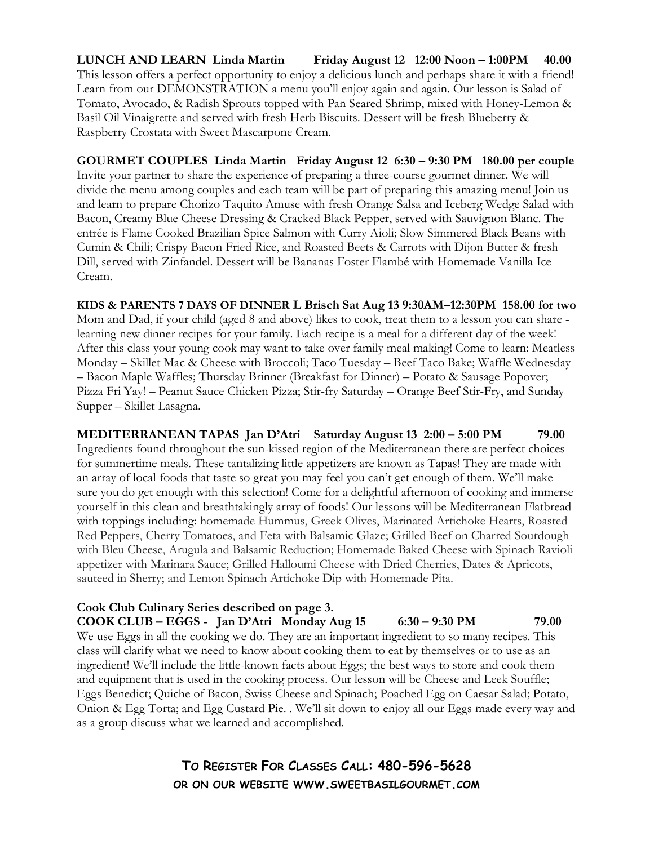LUNCH AND LEARN Linda Martin Friday August 12 12:00 Noon – 1:00PM 40.00 This lesson offers a perfect opportunity to enjoy a delicious lunch and perhaps share it with a friend! Learn from our DEMONSTRATION a menu you'll enjoy again and again. Our lesson is Salad of Tomato, Avocado, & Radish Sprouts topped with Pan Seared Shrimp, mixed with Honey-Lemon & Basil Oil Vinaigrette and served with fresh Herb Biscuits. Dessert will be fresh Blueberry & Raspberry Crostata with Sweet Mascarpone Cream.

GOURMET COUPLES Linda Martin Friday August 12 6:30 – 9:30 PM 180.00 per couple Invite your partner to share the experience of preparing a three-course gourmet dinner. We will divide the menu among couples and each team will be part of preparing this amazing menu! Join us and learn to prepare Chorizo Taquito Amuse with fresh Orange Salsa and Iceberg Wedge Salad with Bacon, Creamy Blue Cheese Dressing & Cracked Black Pepper, served with Sauvignon Blanc. The entrée is Flame Cooked Brazilian Spice Salmon with Curry Aioli; Slow Simmered Black Beans with Cumin & Chili; Crispy Bacon Fried Rice, and Roasted Beets & Carrots with Dijon Butter & fresh Dill, served with Zinfandel. Dessert will be Bananas Foster Flambé with Homemade Vanilla Ice Cream.

KIDS & PARENTS 7 DAYS OF DINNER L Brisch Sat Aug 13 9:30AM–12:30PM 158.00 for two Mom and Dad, if your child (aged 8 and above) likes to cook, treat them to a lesson you can share learning new dinner recipes for your family. Each recipe is a meal for a different day of the week! After this class your young cook may want to take over family meal making! Come to learn: Meatless Monday – Skillet Mac & Cheese with Broccoli; Taco Tuesday – Beef Taco Bake; Waffle Wednesday – Bacon Maple Waffles; Thursday Brinner (Breakfast for Dinner) – Potato & Sausage Popover; Pizza Fri Yay! – Peanut Sauce Chicken Pizza; Stir-fry Saturday – Orange Beef Stir-Fry, and Sunday Supper – Skillet Lasagna.

MEDITERRANEAN TAPAS Jan D'Atri Saturday August 13 2:00 – 5:00 PM 79.00 Ingredients found throughout the sun-kissed region of the Mediterranean there are perfect choices for summertime meals. These tantalizing little appetizers are known as Tapas! They are made with an array of local foods that taste so great you may feel you can't get enough of them. We'll make sure you do get enough with this selection! Come for a delightful afternoon of cooking and immerse yourself in this clean and breathtakingly array of foods! Our lessons will be Mediterranean Flatbread with toppings including: homemade Hummus, Greek Olives, Marinated Artichoke Hearts, Roasted Red Peppers, Cherry Tomatoes, and Feta with Balsamic Glaze; Grilled Beef on Charred Sourdough with Bleu Cheese, Arugula and Balsamic Reduction; Homemade Baked Cheese with Spinach Ravioli appetizer with Marinara Sauce; Grilled Halloumi Cheese with Dried Cherries, Dates & Apricots, sauteed in Sherry; and Lemon Spinach Artichoke Dip with Homemade Pita.

#### Cook Club Culinary Series described on page 3.

COOK CLUB – EGGS - Jan D'Atri Monday Aug  $15$  6:30 – 9:30 PM 79.00 We use Eggs in all the cooking we do. They are an important ingredient to so many recipes. This class will clarify what we need to know about cooking them to eat by themselves or to use as an ingredient! We'll include the little-known facts about Eggs; the best ways to store and cook them and equipment that is used in the cooking process. Our lesson will be Cheese and Leek Souffle; Eggs Benedict; Quiche of Bacon, Swiss Cheese and Spinach; Poached Egg on Caesar Salad; Potato, Onion & Egg Torta; and Egg Custard Pie. . We'll sit down to enjoy all our Eggs made every way and as a group discuss what we learned and accomplished.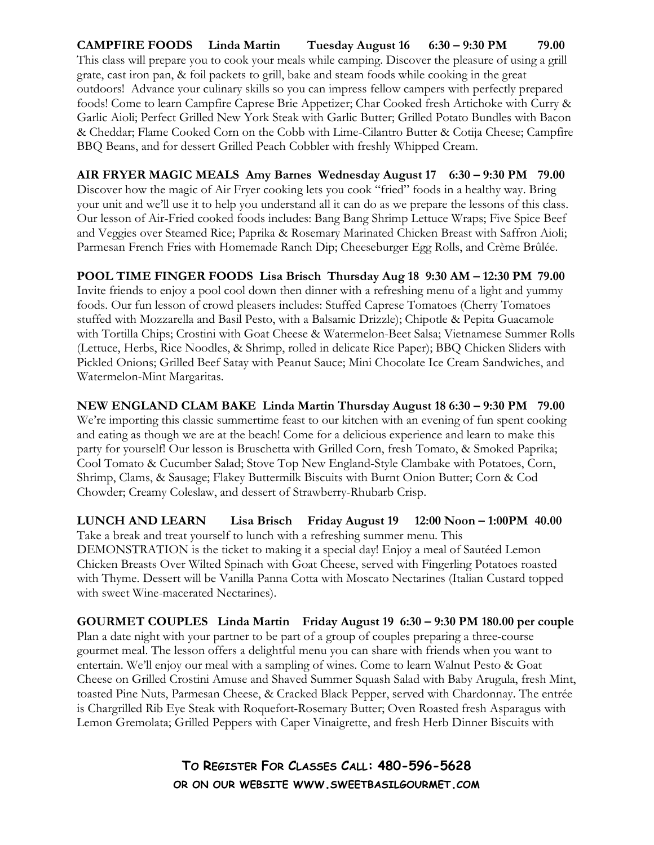CAMPFIRE FOODS Linda Martin Tuesday August 16 6:30 – 9:30 PM 79.00 This class will prepare you to cook your meals while camping. Discover the pleasure of using a grill grate, cast iron pan, & foil packets to grill, bake and steam foods while cooking in the great outdoors! Advance your culinary skills so you can impress fellow campers with perfectly prepared foods! Come to learn Campfire Caprese Brie Appetizer; Char Cooked fresh Artichoke with Curry & Garlic Aioli; Perfect Grilled New York Steak with Garlic Butter; Grilled Potato Bundles with Bacon & Cheddar; Flame Cooked Corn on the Cobb with Lime-Cilantro Butter & Cotija Cheese; Campfire BBQ Beans, and for dessert Grilled Peach Cobbler with freshly Whipped Cream.

AIR FRYER MAGIC MEALS Amy Barnes Wednesday August 17 6:30 – 9:30 PM 79.00 Discover how the magic of Air Fryer cooking lets you cook "fried" foods in a healthy way. Bring your unit and we'll use it to help you understand all it can do as we prepare the lessons of this class. Our lesson of Air-Fried cooked foods includes: Bang Bang Shrimp Lettuce Wraps; Five Spice Beef and Veggies over Steamed Rice; Paprika & Rosemary Marinated Chicken Breast with Saffron Aioli; Parmesan French Fries with Homemade Ranch Dip; Cheeseburger Egg Rolls, and Crème Brûlée.

POOL TIME FINGER FOODS Lisa Brisch Thursday Aug 18 9:30 AM – 12:30 PM 79.00 Invite friends to enjoy a pool cool down then dinner with a refreshing menu of a light and yummy foods. Our fun lesson of crowd pleasers includes: Stuffed Caprese Tomatoes (Cherry Tomatoes stuffed with Mozzarella and Basil Pesto, with a Balsamic Drizzle); Chipotle & Pepita Guacamole with Tortilla Chips; Crostini with Goat Cheese & Watermelon-Beet Salsa; Vietnamese Summer Rolls (Lettuce, Herbs, Rice Noodles, & Shrimp, rolled in delicate Rice Paper); BBQ Chicken Sliders with Pickled Onions; Grilled Beef Satay with Peanut Sauce; Mini Chocolate Ice Cream Sandwiches, and Watermelon-Mint Margaritas.

NEW ENGLAND CLAM BAKE Linda Martin Thursday August 18 6:30 – 9:30 PM 79.00 We're importing this classic summertime feast to our kitchen with an evening of fun spent cooking and eating as though we are at the beach! Come for a delicious experience and learn to make this party for yourself! Our lesson is Bruschetta with Grilled Corn, fresh Tomato, & Smoked Paprika; Cool Tomato & Cucumber Salad; Stove Top New England-Style Clambake with Potatoes, Corn, Shrimp, Clams, & Sausage; Flakey Buttermilk Biscuits with Burnt Onion Butter; Corn & Cod Chowder; Creamy Coleslaw, and dessert of Strawberry-Rhubarb Crisp.

LUNCH AND LEARN Lisa Brisch Friday August 19 12:00 Noon – 1:00PM 40.00 Take a break and treat yourself to lunch with a refreshing summer menu. This DEMONSTRATION is the ticket to making it a special day! Enjoy a meal of Sautéed Lemon Chicken Breasts Over Wilted Spinach with Goat Cheese, served with Fingerling Potatoes roasted with Thyme. Dessert will be Vanilla Panna Cotta with Moscato Nectarines (Italian Custard topped with sweet Wine-macerated Nectarines).

GOURMET COUPLES Linda Martin Friday August 19 6:30 – 9:30 PM 180.00 per couple Plan a date night with your partner to be part of a group of couples preparing a three-course gourmet meal. The lesson offers a delightful menu you can share with friends when you want to entertain. We'll enjoy our meal with a sampling of wines. Come to learn Walnut Pesto & Goat Cheese on Grilled Crostini Amuse and Shaved Summer Squash Salad with Baby Arugula, fresh Mint, toasted Pine Nuts, Parmesan Cheese, & Cracked Black Pepper, served with Chardonnay. The entrée is Chargrilled Rib Eye Steak with Roquefort-Rosemary Butter; Oven Roasted fresh Asparagus with Lemon Gremolata; Grilled Peppers with Caper Vinaigrette, and fresh Herb Dinner Biscuits with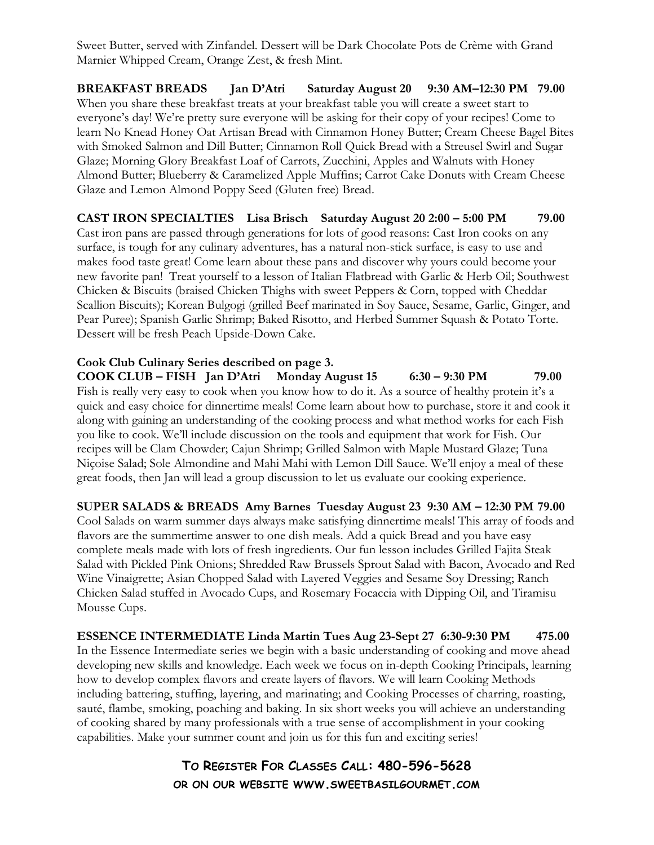Sweet Butter, served with Zinfandel. Dessert will be Dark Chocolate Pots de Crème with Grand Marnier Whipped Cream, Orange Zest, & fresh Mint.

BREAKFAST BREADS Jan D'Atri Saturday August 20 9:30 AM–12:30 PM 79.00 When you share these breakfast treats at your breakfast table you will create a sweet start to everyone's day! We're pretty sure everyone will be asking for their copy of your recipes! Come to learn No Knead Honey Oat Artisan Bread with Cinnamon Honey Butter; Cream Cheese Bagel Bites with Smoked Salmon and Dill Butter; Cinnamon Roll Quick Bread with a Streusel Swirl and Sugar Glaze; Morning Glory Breakfast Loaf of Carrots, Zucchini, Apples and Walnuts with Honey Almond Butter; Blueberry & Caramelized Apple Muffins; Carrot Cake Donuts with Cream Cheese Glaze and Lemon Almond Poppy Seed (Gluten free) Bread.

CAST IRON SPECIALTIES Lisa Brisch Saturday August 20 2:00 – 5:00 PM 79.00 Cast iron pans are passed through generations for lots of good reasons: Cast Iron cooks on any surface, is tough for any culinary adventures, has a natural non-stick surface, is easy to use and makes food taste great! Come learn about these pans and discover why yours could become your new favorite pan! Treat yourself to a lesson of Italian Flatbread with Garlic & Herb Oil; Southwest Chicken & Biscuits (braised Chicken Thighs with sweet Peppers & Corn, topped with Cheddar Scallion Biscuits); Korean Bulgogi (grilled Beef marinated in Soy Sauce, Sesame, Garlic, Ginger, and Pear Puree); Spanish Garlic Shrimp; Baked Risotto, and Herbed Summer Squash & Potato Torte. Dessert will be fresh Peach Upside-Down Cake.

Cook Club Culinary Series described on page 3. COOK CLUB – FISH Jan D'Atri Monday August 15 6:30 – 9:30 PM 79.00 Fish is really very easy to cook when you know how to do it. As a source of healthy protein it's a quick and easy choice for dinnertime meals! Come learn about how to purchase, store it and cook it along with gaining an understanding of the cooking process and what method works for each Fish you like to cook. We'll include discussion on the tools and equipment that work for Fish. Our recipes will be Clam Chowder; Cajun Shrimp; Grilled Salmon with Maple Mustard Glaze; Tuna Niçoise Salad; Sole Almondine and Mahi Mahi with Lemon Dill Sauce. We'll enjoy a meal of these great foods, then Jan will lead a group discussion to let us evaluate our cooking experience.

SUPER SALADS & BREADS Amy Barnes Tuesday August 23 9:30 AM – 12:30 PM 79.00 Cool Salads on warm summer days always make satisfying dinnertime meals! This array of foods and flavors are the summertime answer to one dish meals. Add a quick Bread and you have easy complete meals made with lots of fresh ingredients. Our fun lesson includes Grilled Fajita Steak Salad with Pickled Pink Onions; Shredded Raw Brussels Sprout Salad with Bacon, Avocado and Red Wine Vinaigrette; Asian Chopped Salad with Layered Veggies and Sesame Soy Dressing; Ranch Chicken Salad stuffed in Avocado Cups, and Rosemary Focaccia with Dipping Oil, and Tiramisu Mousse Cups.

ESSENCE INTERMEDIATE Linda Martin Tues Aug 23-Sept 27 6:30-9:30 PM 475.00 In the Essence Intermediate series we begin with a basic understanding of cooking and move ahead developing new skills and knowledge. Each week we focus on in-depth Cooking Principals, learning how to develop complex flavors and create layers of flavors. We will learn Cooking Methods including battering, stuffing, layering, and marinating; and Cooking Processes of charring, roasting, sauté, flambe, smoking, poaching and baking. In six short weeks you will achieve an understanding of cooking shared by many professionals with a true sense of accomplishment in your cooking capabilities. Make your summer count and join us for this fun and exciting series!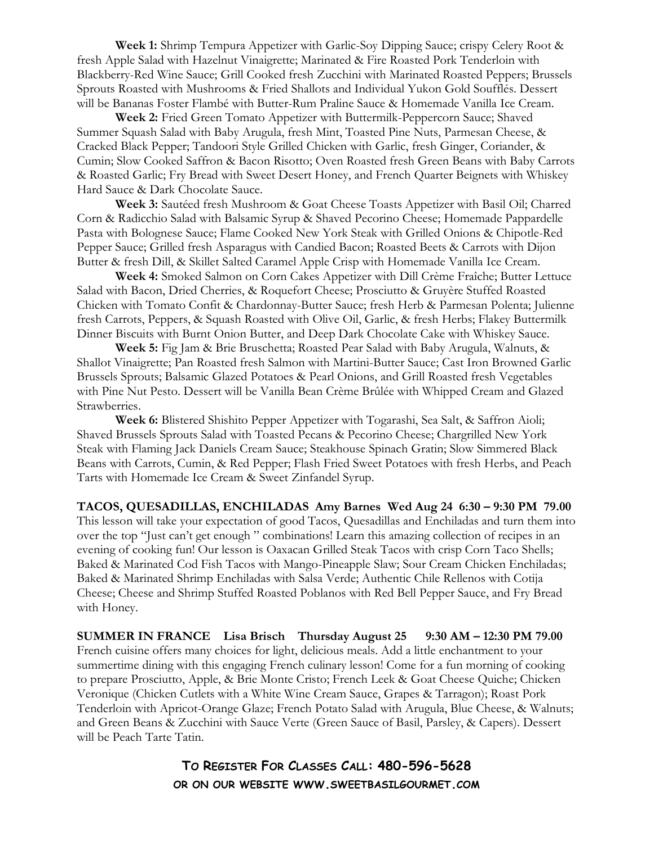Week 1: Shrimp Tempura Appetizer with Garlic-Soy Dipping Sauce; crispy Celery Root & fresh Apple Salad with Hazelnut Vinaigrette; Marinated & Fire Roasted Pork Tenderloin with Blackberry-Red Wine Sauce; Grill Cooked fresh Zucchini with Marinated Roasted Peppers; Brussels Sprouts Roasted with Mushrooms & Fried Shallots and Individual Yukon Gold Soufflés. Dessert will be Bananas Foster Flambé with Butter-Rum Praline Sauce & Homemade Vanilla Ice Cream.

Week 2: Fried Green Tomato Appetizer with Buttermilk-Peppercorn Sauce; Shaved Summer Squash Salad with Baby Arugula, fresh Mint, Toasted Pine Nuts, Parmesan Cheese, & Cracked Black Pepper; Tandoori Style Grilled Chicken with Garlic, fresh Ginger, Coriander, & Cumin; Slow Cooked Saffron & Bacon Risotto; Oven Roasted fresh Green Beans with Baby Carrots & Roasted Garlic; Fry Bread with Sweet Desert Honey, and French Quarter Beignets with Whiskey Hard Sauce & Dark Chocolate Sauce.

Week 3: Sautéed fresh Mushroom & Goat Cheese Toasts Appetizer with Basil Oil; Charred Corn & Radicchio Salad with Balsamic Syrup & Shaved Pecorino Cheese; Homemade Pappardelle Pasta with Bolognese Sauce; Flame Cooked New York Steak with Grilled Onions & Chipotle-Red Pepper Sauce; Grilled fresh Asparagus with Candied Bacon; Roasted Beets & Carrots with Dijon Butter & fresh Dill, & Skillet Salted Caramel Apple Crisp with Homemade Vanilla Ice Cream.

Week 4: Smoked Salmon on Corn Cakes Appetizer with Dill Crème Fraîche; Butter Lettuce Salad with Bacon, Dried Cherries, & Roquefort Cheese; Prosciutto & Gruyère Stuffed Roasted Chicken with Tomato Confit & Chardonnay-Butter Sauce; fresh Herb & Parmesan Polenta; Julienne fresh Carrots, Peppers, & Squash Roasted with Olive Oil, Garlic, & fresh Herbs; Flakey Buttermilk Dinner Biscuits with Burnt Onion Butter, and Deep Dark Chocolate Cake with Whiskey Sauce.

Week 5: Fig Jam & Brie Bruschetta; Roasted Pear Salad with Baby Arugula, Walnuts, & Shallot Vinaigrette; Pan Roasted fresh Salmon with Martini-Butter Sauce; Cast Iron Browned Garlic Brussels Sprouts; Balsamic Glazed Potatoes & Pearl Onions, and Grill Roasted fresh Vegetables with Pine Nut Pesto. Dessert will be Vanilla Bean Crème Brûlée with Whipped Cream and Glazed Strawberries.

Week 6: Blistered Shishito Pepper Appetizer with Togarashi, Sea Salt, & Saffron Aioli; Shaved Brussels Sprouts Salad with Toasted Pecans & Pecorino Cheese; Chargrilled New York Steak with Flaming Jack Daniels Cream Sauce; Steakhouse Spinach Gratin; Slow Simmered Black Beans with Carrots, Cumin, & Red Pepper; Flash Fried Sweet Potatoes with fresh Herbs, and Peach Tarts with Homemade Ice Cream & Sweet Zinfandel Syrup.

TACOS, QUESADILLAS, ENCHILADAS Amy Barnes Wed Aug 24 6:30 – 9:30 PM 79.00 This lesson will take your expectation of good Tacos, Quesadillas and Enchiladas and turn them into over the top "Just can't get enough " combinations! Learn this amazing collection of recipes in an evening of cooking fun! Our lesson is Oaxacan Grilled Steak Tacos with crisp Corn Taco Shells; Baked & Marinated Cod Fish Tacos with Mango-Pineapple Slaw; Sour Cream Chicken Enchiladas; Baked & Marinated Shrimp Enchiladas with Salsa Verde; Authentic Chile Rellenos with Cotija Cheese; Cheese and Shrimp Stuffed Roasted Poblanos with Red Bell Pepper Sauce, and Fry Bread with Honey.

SUMMER IN FRANCE Lisa Brisch Thursday August 25 9:30 AM – 12:30 PM 79.00 French cuisine offers many choices for light, delicious meals. Add a little enchantment to your summertime dining with this engaging French culinary lesson! Come for a fun morning of cooking to prepare Prosciutto, Apple, & Brie Monte Cristo; French Leek & Goat Cheese Quiche; Chicken Veronique (Chicken Cutlets with a White Wine Cream Sauce, Grapes & Tarragon); Roast Pork Tenderloin with Apricot-Orange Glaze; French Potato Salad with Arugula, Blue Cheese, & Walnuts; and Green Beans & Zucchini with Sauce Verte (Green Sauce of Basil, Parsley, & Capers). Dessert will be Peach Tarte Tatin.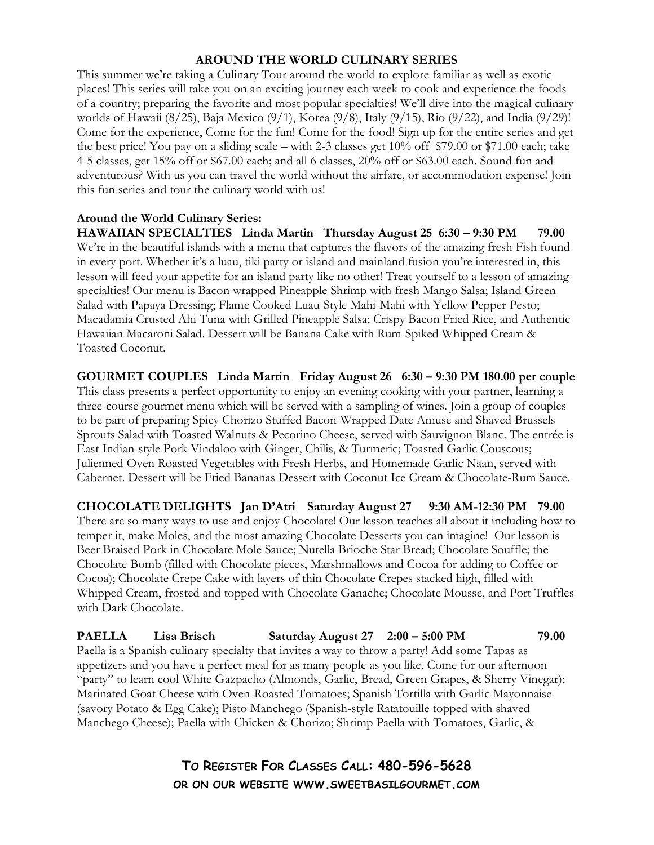#### AROUND THE WORLD CULINARY SERIES

This summer we're taking a Culinary Tour around the world to explore familiar as well as exotic places! This series will take you on an exciting journey each week to cook and experience the foods of a country; preparing the favorite and most popular specialties! We'll dive into the magical culinary worlds of Hawaii (8/25), Baja Mexico (9/1), Korea (9/8), Italy (9/15), Rio (9/22), and India (9/29)! Come for the experience, Come for the fun! Come for the food! Sign up for the entire series and get the best price! You pay on a sliding scale – with 2-3 classes get 10% off \$79.00 or \$71.00 each; take 4-5 classes, get 15% off or \$67.00 each; and all 6 classes, 20% off or \$63.00 each. Sound fun and adventurous? With us you can travel the world without the airfare, or accommodation expense! Join this fun series and tour the culinary world with us!

#### Around the World Culinary Series:

HAWAIIAN SPECIALTIES Linda Martin Thursday August 25 6:30 – 9:30 PM 79.00 We're in the beautiful islands with a menu that captures the flavors of the amazing fresh Fish found in every port. Whether it's a luau, tiki party or island and mainland fusion you're interested in, this lesson will feed your appetite for an island party like no other! Treat yourself to a lesson of amazing specialties! Our menu is Bacon wrapped Pineapple Shrimp with fresh Mango Salsa; Island Green Salad with Papaya Dressing; Flame Cooked Luau-Style Mahi-Mahi with Yellow Pepper Pesto; Macadamia Crusted Ahi Tuna with Grilled Pineapple Salsa; Crispy Bacon Fried Rice, and Authentic Hawaiian Macaroni Salad. Dessert will be Banana Cake with Rum-Spiked Whipped Cream & Toasted Coconut.

GOURMET COUPLES Linda Martin Friday August 26 6:30 – 9:30 PM 180.00 per couple This class presents a perfect opportunity to enjoy an evening cooking with your partner, learning a three-course gourmet menu which will be served with a sampling of wines. Join a group of couples to be part of preparing Spicy Chorizo Stuffed Bacon-Wrapped Date Amuse and Shaved Brussels Sprouts Salad with Toasted Walnuts & Pecorino Cheese, served with Sauvignon Blanc. The entrée is East Indian-style Pork Vindaloo with Ginger, Chilis, & Turmeric; Toasted Garlic Couscous; Julienned Oven Roasted Vegetables with Fresh Herbs, and Homemade Garlic Naan, served with Cabernet. Dessert will be Fried Bananas Dessert with Coconut Ice Cream & Chocolate-Rum Sauce.

CHOCOLATE DELIGHTS Jan D'Atri Saturday August 27 9:30 AM-12:30 PM 79.00 There are so many ways to use and enjoy Chocolate! Our lesson teaches all about it including how to temper it, make Moles, and the most amazing Chocolate Desserts you can imagine! Our lesson is Beer Braised Pork in Chocolate Mole Sauce; Nutella Brioche Star Bread; Chocolate Souffle; the Chocolate Bomb (filled with Chocolate pieces, Marshmallows and Cocoa for adding to Coffee or Cocoa); Chocolate Crepe Cake with layers of thin Chocolate Crepes stacked high, filled with Whipped Cream, frosted and topped with Chocolate Ganache; Chocolate Mousse, and Port Truffles with Dark Chocolate.

PAELLA Lisa Brisch Saturday August 27 2:00 – 5:00 PM 79.00 Paella is a Spanish culinary specialty that invites a way to throw a party! Add some Tapas as appetizers and you have a perfect meal for as many people as you like. Come for our afternoon "party" to learn cool White Gazpacho (Almonds, Garlic, Bread, Green Grapes, & Sherry Vinegar); Marinated Goat Cheese with Oven-Roasted Tomatoes; Spanish Tortilla with Garlic Mayonnaise (savory Potato & Egg Cake); Pisto Manchego (Spanish-style Ratatouille topped with shaved Manchego Cheese); Paella with Chicken & Chorizo; Shrimp Paella with Tomatoes, Garlic, &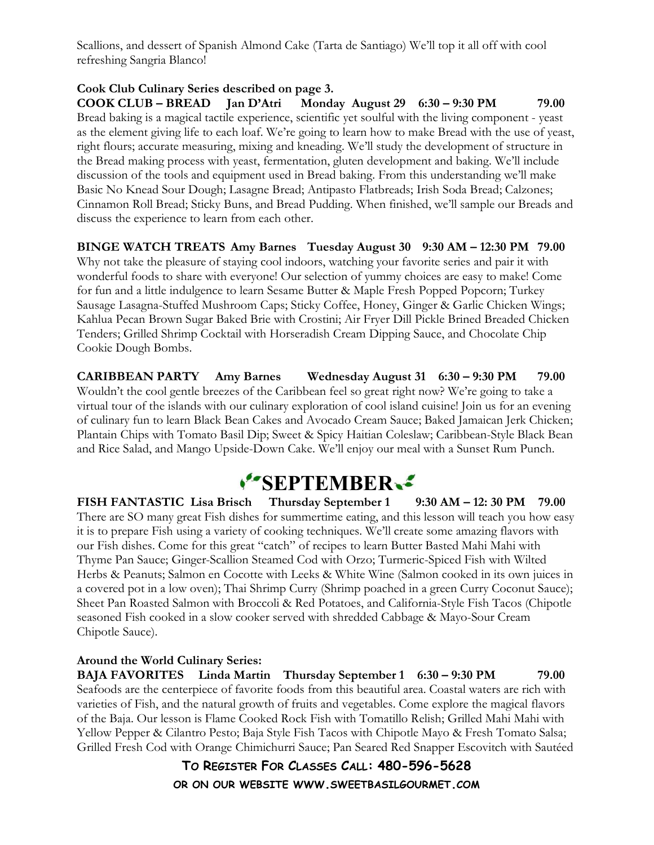Scallions, and dessert of Spanish Almond Cake (Tarta de Santiago) We'll top it all off with cool refreshing Sangria Blanco!

#### Cook Club Culinary Series described on page 3.

COOK CLUB – BREAD Jan D'Atri Monday August 29 6:30 – 9:30 PM 79.00 Bread baking is a magical tactile experience, scientific yet soulful with the living component - yeast as the element giving life to each loaf. We're going to learn how to make Bread with the use of yeast, right flours; accurate measuring, mixing and kneading. We'll study the development of structure in the Bread making process with yeast, fermentation, gluten development and baking. We'll include discussion of the tools and equipment used in Bread baking. From this understanding we'll make Basic No Knead Sour Dough; Lasagne Bread; Antipasto Flatbreads; Irish Soda Bread; Calzones; Cinnamon Roll Bread; Sticky Buns, and Bread Pudding. When finished, we'll sample our Breads and discuss the experience to learn from each other.

BINGE WATCH TREATS Amy Barnes Tuesday August 30 9:30 AM – 12:30 PM 79.00 Why not take the pleasure of staying cool indoors, watching your favorite series and pair it with wonderful foods to share with everyone! Our selection of yummy choices are easy to make! Come for fun and a little indulgence to learn Sesame Butter & Maple Fresh Popped Popcorn; Turkey Sausage Lasagna-Stuffed Mushroom Caps; Sticky Coffee, Honey, Ginger & Garlic Chicken Wings; Kahlua Pecan Brown Sugar Baked Brie with Crostini; Air Fryer Dill Pickle Brined Breaded Chicken Tenders; Grilled Shrimp Cocktail with Horseradish Cream Dipping Sauce, and Chocolate Chip Cookie Dough Bombs.

CARIBBEAN PARTY Amy Barnes Wednesday August 31 6:30 – 9:30 PM 79.00 Wouldn't the cool gentle breezes of the Caribbean feel so great right now? We're going to take a virtual tour of the islands with our culinary exploration of cool island cuisine! Join us for an evening of culinary fun to learn Black Bean Cakes and Avocado Cream Sauce; Baked Jamaican Jerk Chicken; Plantain Chips with Tomato Basil Dip; Sweet & Spicy Haitian Coleslaw; Caribbean-Style Black Bean and Rice Salad, and Mango Upside-Down Cake. We'll enjoy our meal with a Sunset Rum Punch.

# SEPTEMBER.

FISH FANTASTIC Lisa Brisch Thursday September 1 9:30 AM – 12: 30 PM 79.00 There are SO many great Fish dishes for summertime eating, and this lesson will teach you how easy it is to prepare Fish using a variety of cooking techniques. We'll create some amazing flavors with our Fish dishes. Come for this great "catch" of recipes to learn Butter Basted Mahi Mahi with Thyme Pan Sauce; Ginger-Scallion Steamed Cod with Orzo; Turmeric-Spiced Fish with Wilted Herbs & Peanuts; Salmon en Cocotte with Leeks & White Wine (Salmon cooked in its own juices in a covered pot in a low oven); Thai Shrimp Curry (Shrimp poached in a green Curry Coconut Sauce); Sheet Pan Roasted Salmon with Broccoli & Red Potatoes, and California-Style Fish Tacos (Chipotle seasoned Fish cooked in a slow cooker served with shredded Cabbage & Mayo-Sour Cream Chipotle Sauce).

#### Around the World Culinary Series:

BAJA FAVORITES Linda Martin Thursday September 1 6:30 – 9:30 PM 79.00 Seafoods are the centerpiece of favorite foods from this beautiful area. Coastal waters are rich with varieties of Fish, and the natural growth of fruits and vegetables. Come explore the magical flavors of the Baja. Our lesson is Flame Cooked Rock Fish with Tomatillo Relish; Grilled Mahi Mahi with Yellow Pepper & Cilantro Pesto; Baja Style Fish Tacos with Chipotle Mayo & Fresh Tomato Salsa; Grilled Fresh Cod with Orange Chimichurri Sauce; Pan Seared Red Snapper Escovitch with Sautéed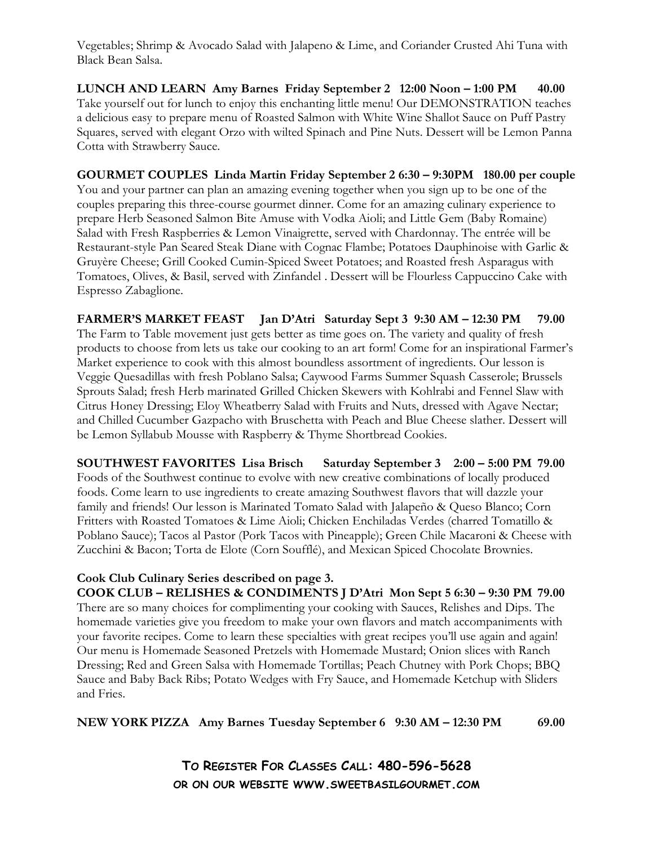Vegetables; Shrimp & Avocado Salad with Jalapeno & Lime, and Coriander Crusted Ahi Tuna with Black Bean Salsa.

LUNCH AND LEARN Amy Barnes Friday September 2 12:00 Noon – 1:00 PM 40.00 Take yourself out for lunch to enjoy this enchanting little menu! Our DEMONSTRATION teaches a delicious easy to prepare menu of Roasted Salmon with White Wine Shallot Sauce on Puff Pastry Squares, served with elegant Orzo with wilted Spinach and Pine Nuts. Dessert will be Lemon Panna Cotta with Strawberry Sauce.

GOURMET COUPLES Linda Martin Friday September 2 6:30 – 9:30PM 180.00 per couple You and your partner can plan an amazing evening together when you sign up to be one of the couples preparing this three-course gourmet dinner. Come for an amazing culinary experience to prepare Herb Seasoned Salmon Bite Amuse with Vodka Aioli; and Little Gem (Baby Romaine) Salad with Fresh Raspberries & Lemon Vinaigrette, served with Chardonnay. The entrée will be Restaurant-style Pan Seared Steak Diane with Cognac Flambe; Potatoes Dauphinoise with Garlic & Gruyère Cheese; Grill Cooked Cumin-Spiced Sweet Potatoes; and Roasted fresh Asparagus with Tomatoes, Olives, & Basil, served with Zinfandel . Dessert will be Flourless Cappuccino Cake with Espresso Zabaglione.

FARMER'S MARKET FEAST Jan D'Atri Saturday Sept 3 9:30 AM – 12:30 PM 79.00 The Farm to Table movement just gets better as time goes on. The variety and quality of fresh products to choose from lets us take our cooking to an art form! Come for an inspirational Farmer's Market experience to cook with this almost boundless assortment of ingredients. Our lesson is Veggie Quesadillas with fresh Poblano Salsa; Caywood Farms Summer Squash Casserole; Brussels Sprouts Salad; fresh Herb marinated Grilled Chicken Skewers with Kohlrabi and Fennel Slaw with Citrus Honey Dressing; Eloy Wheatberry Salad with Fruits and Nuts, dressed with Agave Nectar; and Chilled Cucumber Gazpacho with Bruschetta with Peach and Blue Cheese slather. Dessert will be Lemon Syllabub Mousse with Raspberry & Thyme Shortbread Cookies.

SOUTHWEST FAVORITES Lisa Brisch Saturday September 3 2:00 – 5:00 PM 79.00 Foods of the Southwest continue to evolve with new creative combinations of locally produced foods. Come learn to use ingredients to create amazing Southwest flavors that will dazzle your family and friends! Our lesson is Marinated Tomato Salad with Jalapeño & Queso Blanco; Corn Fritters with Roasted Tomatoes & Lime Aioli; Chicken Enchiladas Verdes (charred Tomatillo & Poblano Sauce); Tacos al Pastor (Pork Tacos with Pineapple); Green Chile Macaroni & Cheese with Zucchini & Bacon; Torta de Elote (Corn Soufflé), and Mexican Spiced Chocolate Brownies.

#### Cook Club Culinary Series described on page 3. COOK CLUB – RELISHES & CONDIMENTS J D'Atri Mon Sept 5 6:30 – 9:30 PM 79.00

There are so many choices for complimenting your cooking with Sauces, Relishes and Dips. The homemade varieties give you freedom to make your own flavors and match accompaniments with your favorite recipes. Come to learn these specialties with great recipes you'll use again and again! Our menu is Homemade Seasoned Pretzels with Homemade Mustard; Onion slices with Ranch Dressing; Red and Green Salsa with Homemade Tortillas; Peach Chutney with Pork Chops; BBQ Sauce and Baby Back Ribs; Potato Wedges with Fry Sauce, and Homemade Ketchup with Sliders and Fries.

NEW YORK PIZZA Amy Barnes Tuesday September 6 9:30 AM – 12:30 PM 69.00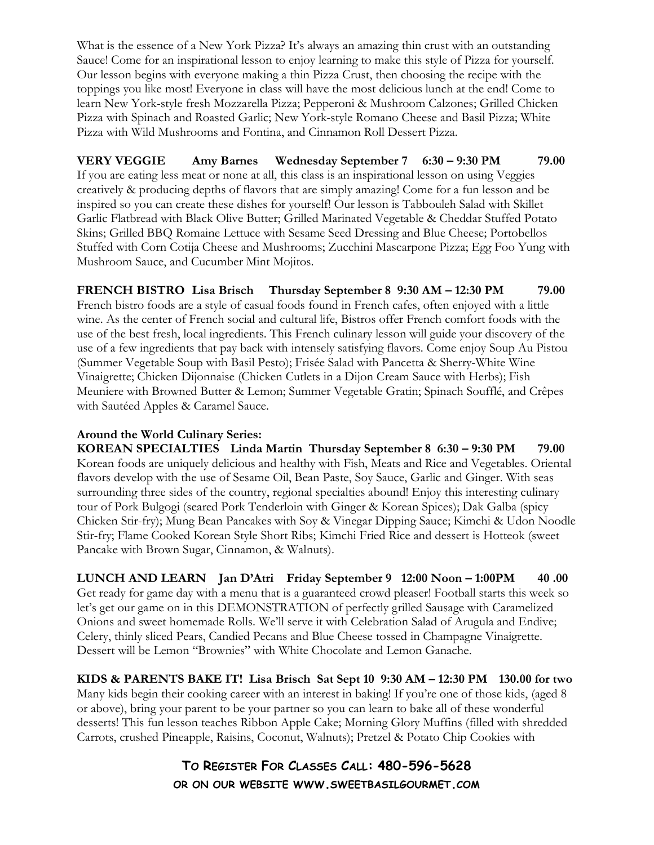What is the essence of a New York Pizza? It's always an amazing thin crust with an outstanding Sauce! Come for an inspirational lesson to enjoy learning to make this style of Pizza for yourself. Our lesson begins with everyone making a thin Pizza Crust, then choosing the recipe with the toppings you like most! Everyone in class will have the most delicious lunch at the end! Come to learn New York-style fresh Mozzarella Pizza; Pepperoni & Mushroom Calzones; Grilled Chicken Pizza with Spinach and Roasted Garlic; New York-style Romano Cheese and Basil Pizza; White Pizza with Wild Mushrooms and Fontina, and Cinnamon Roll Dessert Pizza.

VERY VEGGIE Amy Barnes Wednesday September 7 6:30 – 9:30 PM 79.00 If you are eating less meat or none at all, this class is an inspirational lesson on using Veggies creatively & producing depths of flavors that are simply amazing! Come for a fun lesson and be inspired so you can create these dishes for yourself! Our lesson is Tabbouleh Salad with Skillet Garlic Flatbread with Black Olive Butter; Grilled Marinated Vegetable & Cheddar Stuffed Potato Skins; Grilled BBQ Romaine Lettuce with Sesame Seed Dressing and Blue Cheese; Portobellos Stuffed with Corn Cotija Cheese and Mushrooms; Zucchini Mascarpone Pizza; Egg Foo Yung with Mushroom Sauce, and Cucumber Mint Mojitos.

FRENCH BISTRO Lisa Brisch Thursday September 8 9:30 AM – 12:30 PM 79.00 French bistro foods are a style of casual foods found in French cafes, often enjoyed with a little wine. As the center of French social and cultural life, Bistros offer French comfort foods with the use of the best fresh, local ingredients. This French culinary lesson will guide your discovery of the use of a few ingredients that pay back with intensely satisfying flavors. Come enjoy Soup Au Pistou (Summer Vegetable Soup with Basil Pesto); Frisée Salad with Pancetta & Sherry-White Wine Vinaigrette; Chicken Dijonnaise (Chicken Cutlets in a Dijon Cream Sauce with Herbs); Fish Meuniere with Browned Butter & Lemon; Summer Vegetable Gratin; Spinach Soufflé, and Crêpes with Sautéed Apples & Caramel Sauce.

#### Around the World Culinary Series:

KOREAN SPECIALTIES Linda Martin Thursday September 8 6:30 – 9:30 PM 79.00 Korean foods are uniquely delicious and healthy with Fish, Meats and Rice and Vegetables. Oriental flavors develop with the use of Sesame Oil, Bean Paste, Soy Sauce, Garlic and Ginger. With seas surrounding three sides of the country, regional specialties abound! Enjoy this interesting culinary tour of Pork Bulgogi (seared Pork Tenderloin with Ginger & Korean Spices); Dak Galba (spicy Chicken Stir-fry); Mung Bean Pancakes with Soy & Vinegar Dipping Sauce; Kimchi & Udon Noodle Stir-fry; Flame Cooked Korean Style Short Ribs; Kimchi Fried Rice and dessert is Hotteok (sweet Pancake with Brown Sugar, Cinnamon, & Walnuts).

LUNCH AND LEARN Jan D'Atri Friday September 9 12:00 Noon – 1:00PM 40 .00 Get ready for game day with a menu that is a guaranteed crowd pleaser! Football starts this week so let's get our game on in this DEMONSTRATION of perfectly grilled Sausage with Caramelized Onions and sweet homemade Rolls. We'll serve it with Celebration Salad of Arugula and Endive; Celery, thinly sliced Pears, Candied Pecans and Blue Cheese tossed in Champagne Vinaigrette. Dessert will be Lemon "Brownies" with White Chocolate and Lemon Ganache.

KIDS & PARENTS BAKE IT! Lisa Brisch Sat Sept 10 9:30 AM – 12:30 PM 130.00 for two Many kids begin their cooking career with an interest in baking! If you're one of those kids, (aged 8 or above), bring your parent to be your partner so you can learn to bake all of these wonderful desserts! This fun lesson teaches Ribbon Apple Cake; Morning Glory Muffins (filled with shredded Carrots, crushed Pineapple, Raisins, Coconut, Walnuts); Pretzel & Potato Chip Cookies with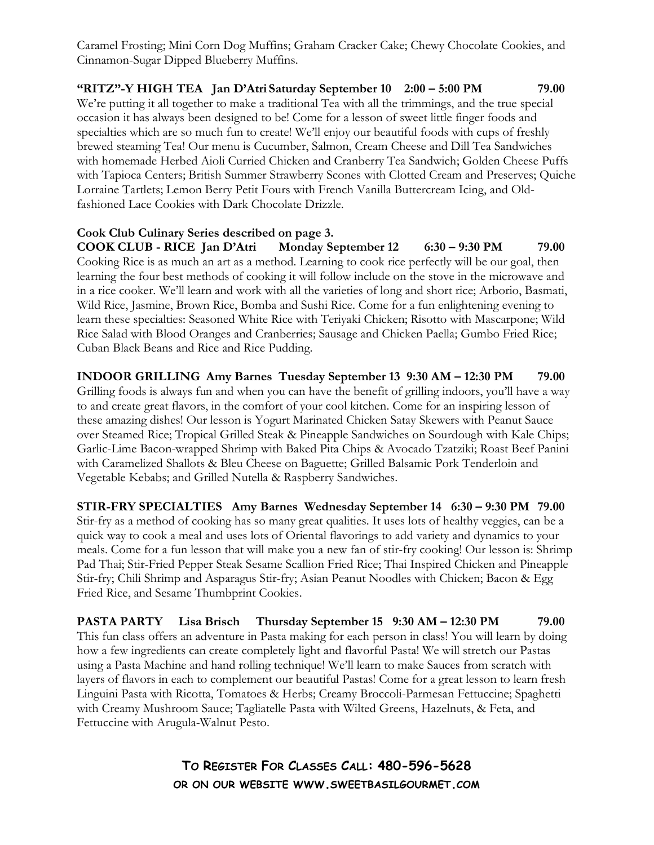Caramel Frosting; Mini Corn Dog Muffins; Graham Cracker Cake; Chewy Chocolate Cookies, and Cinnamon-Sugar Dipped Blueberry Muffins.

"RITZ"-Y HIGH TEA Jan D'Atri Saturday September 10 2:00 – 5:00 PM 79.00 We're putting it all together to make a traditional Tea with all the trimmings, and the true special occasion it has always been designed to be! Come for a lesson of sweet little finger foods and specialties which are so much fun to create! We'll enjoy our beautiful foods with cups of freshly brewed steaming Tea! Our menu is Cucumber, Salmon, Cream Cheese and Dill Tea Sandwiches with homemade Herbed Aioli Curried Chicken and Cranberry Tea Sandwich; Golden Cheese Puffs with Tapioca Centers; British Summer Strawberry Scones with Clotted Cream and Preserves; Quiche Lorraine Tartlets; Lemon Berry Petit Fours with French Vanilla Buttercream Icing, and Oldfashioned Lace Cookies with Dark Chocolate Drizzle.

#### Cook Club Culinary Series described on page 3.

COOK CLUB - RICE Jan D'Atri Monday September 12 6:30 – 9:30 PM 79.00 Cooking Rice is as much an art as a method. Learning to cook rice perfectly will be our goal, then learning the four best methods of cooking it will follow include on the stove in the microwave and in a rice cooker. We'll learn and work with all the varieties of long and short rice; Arborio, Basmati, Wild Rice, Jasmine, Brown Rice, Bomba and Sushi Rice. Come for a fun enlightening evening to learn these specialties: Seasoned White Rice with Teriyaki Chicken; Risotto with Mascarpone; Wild Rice Salad with Blood Oranges and Cranberries; Sausage and Chicken Paella; Gumbo Fried Rice; Cuban Black Beans and Rice and Rice Pudding.

INDOOR GRILLING Amy Barnes Tuesday September 13 9:30 AM – 12:30 PM 79.00 Grilling foods is always fun and when you can have the benefit of grilling indoors, you'll have a way to and create great flavors, in the comfort of your cool kitchen. Come for an inspiring lesson of these amazing dishes! Our lesson is Yogurt Marinated Chicken Satay Skewers with Peanut Sauce over Steamed Rice; Tropical Grilled Steak & Pineapple Sandwiches on Sourdough with Kale Chips; Garlic-Lime Bacon-wrapped Shrimp with Baked Pita Chips & Avocado Tzatziki; Roast Beef Panini with Caramelized Shallots & Bleu Cheese on Baguette; Grilled Balsamic Pork Tenderloin and Vegetable Kebabs; and Grilled Nutella & Raspberry Sandwiches.

STIR-FRY SPECIALTIES Amy Barnes Wednesday September 14 6:30 – 9:30 PM 79.00 Stir-fry as a method of cooking has so many great qualities. It uses lots of healthy veggies, can be a quick way to cook a meal and uses lots of Oriental flavorings to add variety and dynamics to your meals. Come for a fun lesson that will make you a new fan of stir-fry cooking! Our lesson is: Shrimp Pad Thai; Stir-Fried Pepper Steak Sesame Scallion Fried Rice; Thai Inspired Chicken and Pineapple Stir-fry; Chili Shrimp and Asparagus Stir-fry; Asian Peanut Noodles with Chicken; Bacon & Egg Fried Rice, and Sesame Thumbprint Cookies.

PASTA PARTY Lisa Brisch Thursday September 15 9:30 AM – 12:30 PM 79.00 This fun class offers an adventure in Pasta making for each person in class! You will learn by doing how a few ingredients can create completely light and flavorful Pasta! We will stretch our Pastas using a Pasta Machine and hand rolling technique! We'll learn to make Sauces from scratch with layers of flavors in each to complement our beautiful Pastas! Come for a great lesson to learn fresh Linguini Pasta with Ricotta, Tomatoes & Herbs; Creamy Broccoli-Parmesan Fettuccine; Spaghetti with Creamy Mushroom Sauce; Tagliatelle Pasta with Wilted Greens, Hazelnuts, & Feta, and Fettuccine with Arugula-Walnut Pesto.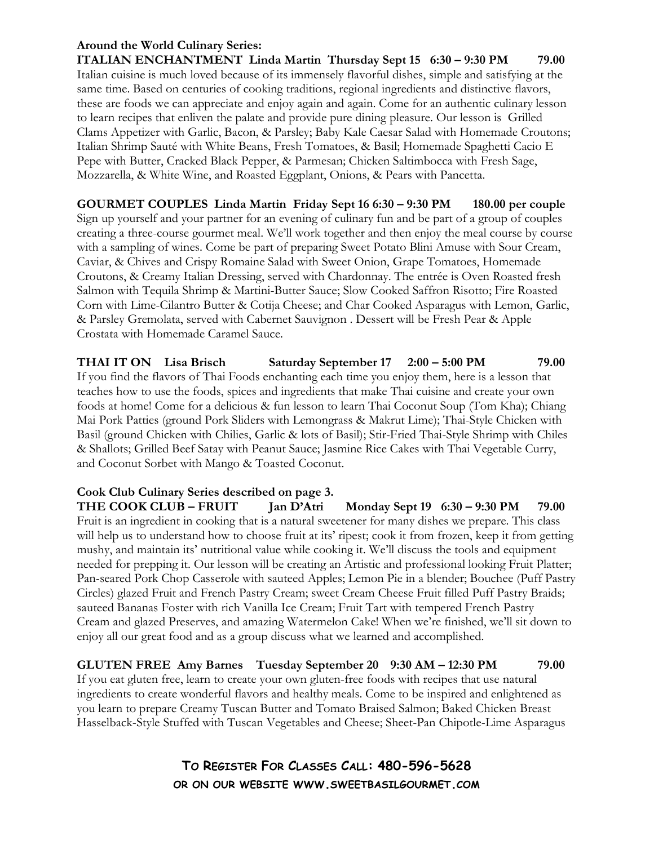#### Around the World Culinary Series:

ITALIAN ENCHANTMENT Linda Martin Thursday Sept 15 6:30 – 9:30 PM 79.00 Italian cuisine is much loved because of its immensely flavorful dishes, simple and satisfying at the same time. Based on centuries of cooking traditions, regional ingredients and distinctive flavors, these are foods we can appreciate and enjoy again and again. Come for an authentic culinary lesson to learn recipes that enliven the palate and provide pure dining pleasure. Our lesson is Grilled Clams Appetizer with Garlic, Bacon, & Parsley; Baby Kale Caesar Salad with Homemade Croutons; Italian Shrimp Sauté with White Beans, Fresh Tomatoes, & Basil; Homemade Spaghetti Cacio E Pepe with Butter, Cracked Black Pepper, & Parmesan; Chicken Saltimbocca with Fresh Sage, Mozzarella, & White Wine, and Roasted Eggplant, Onions, & Pears with Pancetta.

GOURMET COUPLES Linda Martin Friday Sept 16 6:30 – 9:30 PM 180.00 per couple Sign up yourself and your partner for an evening of culinary fun and be part of a group of couples creating a three-course gourmet meal. We'll work together and then enjoy the meal course by course with a sampling of wines. Come be part of preparing Sweet Potato Blini Amuse with Sour Cream, Caviar, & Chives and Crispy Romaine Salad with Sweet Onion, Grape Tomatoes, Homemade Croutons, & Creamy Italian Dressing, served with Chardonnay. The entrée is Oven Roasted fresh Salmon with Tequila Shrimp & Martini-Butter Sauce; Slow Cooked Saffron Risotto; Fire Roasted Corn with Lime-Cilantro Butter & Cotija Cheese; and Char Cooked Asparagus with Lemon, Garlic, & Parsley Gremolata, served with Cabernet Sauvignon . Dessert will be Fresh Pear & Apple Crostata with Homemade Caramel Sauce.

THAI IT ON Lisa Brisch Saturday September 17 2:00 – 5:00 PM 79.00 If you find the flavors of Thai Foods enchanting each time you enjoy them, here is a lesson that teaches how to use the foods, spices and ingredients that make Thai cuisine and create your own foods at home! Come for a delicious & fun lesson to learn Thai Coconut Soup (Tom Kha); Chiang Mai Pork Patties (ground Pork Sliders with Lemongrass & Makrut Lime); Thai-Style Chicken with Basil (ground Chicken with Chilies, Garlic & lots of Basil); Stir-Fried Thai-Style Shrimp with Chiles & Shallots; Grilled Beef Satay with Peanut Sauce; Jasmine Rice Cakes with Thai Vegetable Curry, and Coconut Sorbet with Mango & Toasted Coconut.

# Cook Club Culinary Series described on page 3.

THE COOK CLUB – FRUIT Jan D'Atri Monday Sept 19 6:30 – 9:30 PM 79.00 Fruit is an ingredient in cooking that is a natural sweetener for many dishes we prepare. This class will help us to understand how to choose fruit at its' ripest; cook it from frozen, keep it from getting mushy, and maintain its' nutritional value while cooking it. We'll discuss the tools and equipment needed for prepping it. Our lesson will be creating an Artistic and professional looking Fruit Platter; Pan-seared Pork Chop Casserole with sauteed Apples; Lemon Pie in a blender; Bouchee (Puff Pastry Circles) glazed Fruit and French Pastry Cream; sweet Cream Cheese Fruit filled Puff Pastry Braids; sauteed Bananas Foster with rich Vanilla Ice Cream; Fruit Tart with tempered French Pastry Cream and glazed Preserves, and amazing Watermelon Cake! When we're finished, we'll sit down to enjoy all our great food and as a group discuss what we learned and accomplished.

GLUTEN FREE Amy Barnes Tuesday September 20 9:30 AM – 12:30 PM 79.00 If you eat gluten free, learn to create your own gluten-free foods with recipes that use natural ingredients to create wonderful flavors and healthy meals. Come to be inspired and enlightened as you learn to prepare Creamy Tuscan Butter and Tomato Braised Salmon; Baked Chicken Breast Hasselback-Style Stuffed with Tuscan Vegetables and Cheese; Sheet-Pan Chipotle-Lime Asparagus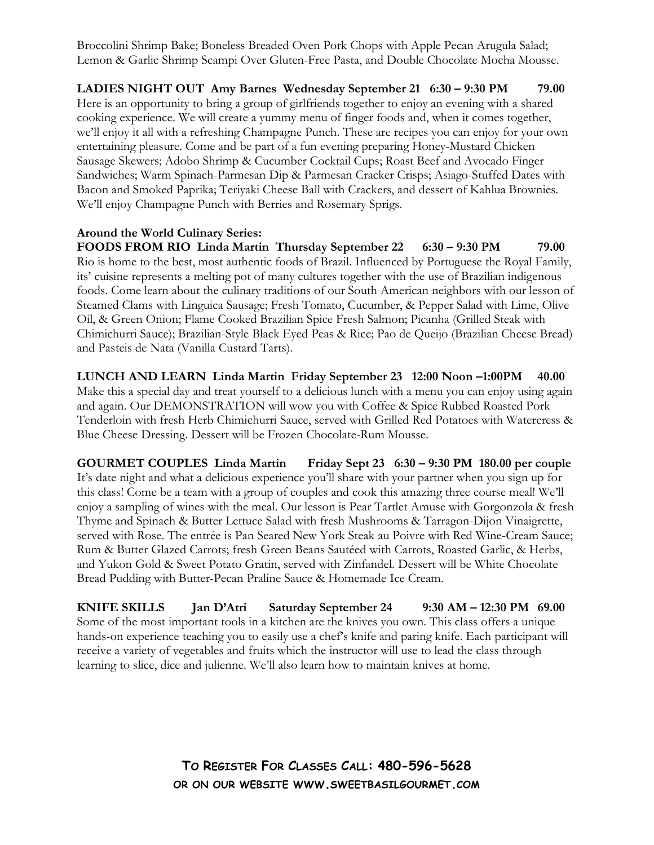Broccolini Shrimp Bake; Boneless Breaded Oven Pork Chops with Apple Pecan Arugula Salad; Lemon & Garlic Shrimp Scampi Over Gluten-Free Pasta, and Double Chocolate Mocha Mousse.

LADIES NIGHT OUT Amy Barnes Wednesday September 21 6:30 – 9:30 PM 79.00 Here is an opportunity to bring a group of girlfriends together to enjoy an evening with a shared cooking experience. We will create a yummy menu of finger foods and, when it comes together, we'll enjoy it all with a refreshing Champagne Punch. These are recipes you can enjoy for your own entertaining pleasure. Come and be part of a fun evening preparing Honey-Mustard Chicken Sausage Skewers; Adobo Shrimp & Cucumber Cocktail Cups; Roast Beef and Avocado Finger Sandwiches; Warm Spinach-Parmesan Dip & Parmesan Cracker Crisps; Asiago-Stuffed Dates with Bacon and Smoked Paprika; Teriyaki Cheese Ball with Crackers, and dessert of Kahlua Brownies. We'll enjoy Champagne Punch with Berries and Rosemary Sprigs.

#### Around the World Culinary Series:

FOODS FROM RIO Linda Martin Thursday September 22 6:30 – 9:30 PM 79.00 Rio is home to the best, most authentic foods of Brazil. Influenced by Portuguese the Royal Family, its' cuisine represents a melting pot of many cultures together with the use of Brazilian indigenous foods. Come learn about the culinary traditions of our South American neighbors with our lesson of Steamed Clams with Linguica Sausage; Fresh Tomato, Cucumber, & Pepper Salad with Lime, Olive Oil, & Green Onion; Flame Cooked Brazilian Spice Fresh Salmon; Picanha (Grilled Steak with Chimichurri Sauce); Brazilian-Style Black Eyed Peas & Rice; Pao de Queijo (Brazilian Cheese Bread) and Pasteis de Nata (Vanilla Custard Tarts).

LUNCH AND LEARN Linda Martin Friday September 23 12:00 Noon –1:00PM 40.00 Make this a special day and treat yourself to a delicious lunch with a menu you can enjoy using again and again. Our DEMONSTRATION will wow you with Coffee & Spice Rubbed Roasted Pork Tenderloin with fresh Herb Chimichurri Sauce, served with Grilled Red Potatoes with Watercress & Blue Cheese Dressing. Dessert will be Frozen Chocolate-Rum Mousse.

GOURMET COUPLES Linda Martin Friday Sept 23 6:30 – 9:30 PM 180.00 per couple It's date night and what a delicious experience you'll share with your partner when you sign up for this class! Come be a team with a group of couples and cook this amazing three course meal! We'll enjoy a sampling of wines with the meal. Our lesson is Pear Tartlet Amuse with Gorgonzola & fresh Thyme and Spinach & Butter Lettuce Salad with fresh Mushrooms & Tarragon-Dijon Vinaigrette, served with Rose. The entrée is Pan Seared New York Steak au Poivre with Red Wine-Cream Sauce; Rum & Butter Glazed Carrots; fresh Green Beans Sautéed with Carrots, Roasted Garlic, & Herbs, and Yukon Gold & Sweet Potato Gratin, served with Zinfandel. Dessert will be White Chocolate Bread Pudding with Butter-Pecan Praline Sauce & Homemade Ice Cream.

KNIFE SKILLS Jan D'Atri Saturday September 24 9:30 AM – 12:30 PM 69.00 Some of the most important tools in a kitchen are the knives you own. This class offers a unique hands-on experience teaching you to easily use a chef's knife and paring knife. Each participant will receive a variety of vegetables and fruits which the instructor will use to lead the class through learning to slice, dice and julienne. We'll also learn how to maintain knives at home.